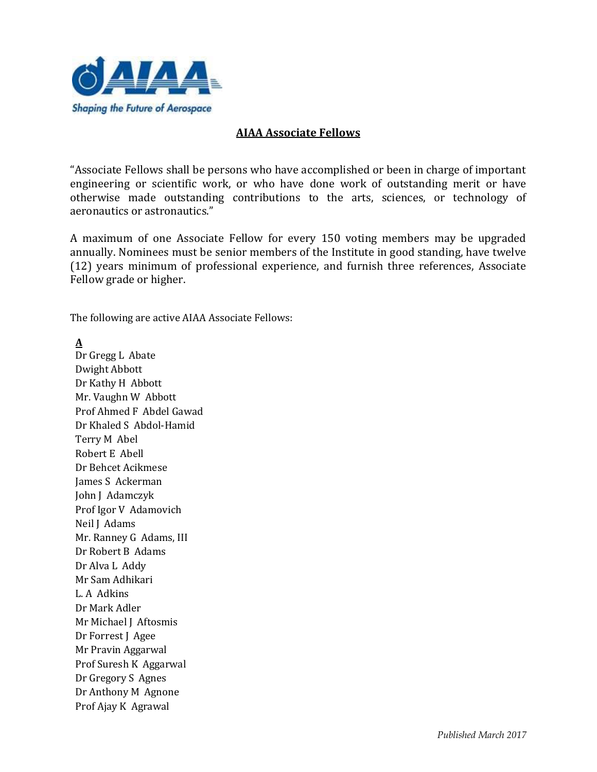

#### **AIAA Associate Fellows**

"Associate Fellows shall be persons who have accomplished or been in charge of important engineering or scientific work, or who have done work of outstanding merit or have otherwise made outstanding contributions to the arts, sciences, or technology of aeronautics or astronautics."

A maximum of one Associate Fellow for every 150 voting members may be upgraded annually. Nominees must be senior members of the Institute in good standing, have twelve (12) years minimum of professional experience, and furnish three references, Associate Fellow grade or higher.

The following are active AIAA Associate Fellows:

**A**

Dr Gregg L Abate Dwight Abbott Dr Kathy H Abbott Mr. Vaughn W Abbott Prof Ahmed F Abdel Gawad Dr Khaled S Abdol-Hamid Terry M Abel Robert E Abell Dr Behcet Acikmese James S Ackerman John J Adamczyk Prof Igor V Adamovich Neil J Adams Mr. Ranney G Adams, III Dr Robert B Adams Dr Alva L Addy Mr Sam Adhikari L. A Adkins Dr Mark Adler Mr Michael J Aftosmis Dr Forrest J Agee Mr Pravin Aggarwal Prof Suresh K Aggarwal Dr Gregory S Agnes Dr Anthony M Agnone Prof Ajay K Agrawal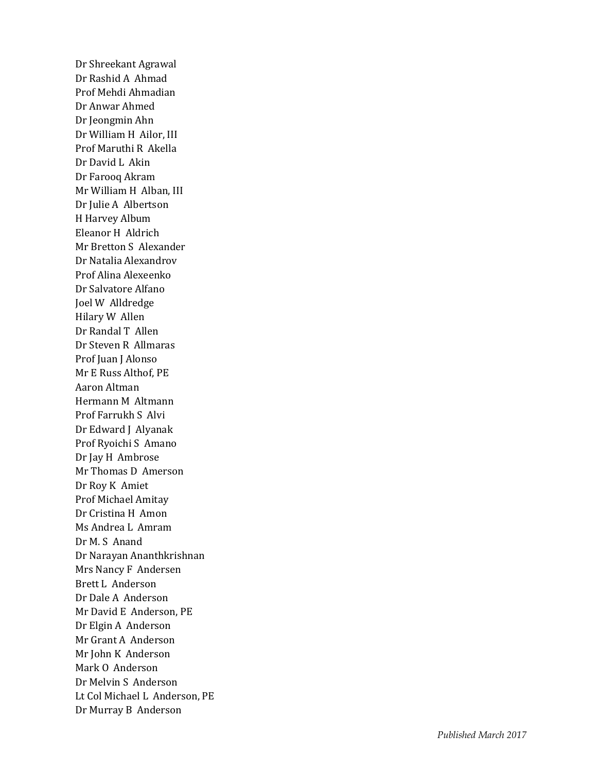Dr Shreekant Agrawal Dr Rashid A Ahmad Prof Mehdi Ahmadian Dr Anwar Ahmed Dr Jeongmin Ahn Dr William H Ailor, III Prof Maruthi R Akella Dr David L Akin Dr Farooq Akram Mr William H Alban, III Dr Julie A Albertson H Harvey Album Eleanor H Aldrich Mr Bretton S Alexander Dr Natalia Alexandrov Prof Alina Alexeenko Dr Salvatore Alfano Joel W Alldredge Hilary W Allen Dr Randal T Allen Dr Steven R Allmaras Prof Juan J Alonso Mr E Russ Althof, PE Aaron Altman Hermann M Altmann Prof Farrukh S Alvi Dr Edward J Alyanak Prof Ryoichi S Amano Dr Jay H Ambrose Mr Thomas D Amerson Dr Roy K Amiet Prof Michael Amitay Dr Cristina H Amon Ms Andrea L Amram Dr M. S Anand Dr Narayan Ananthkrishnan Mrs Nancy F Andersen Brett L Anderson Dr Dale A Anderson Mr David E Anderson, PE Dr Elgin A Anderson Mr Grant A Anderson Mr John K Anderson Mark O Anderson Dr Melvin S Anderson Lt Col Michael L Anderson, PE Dr Murray B Anderson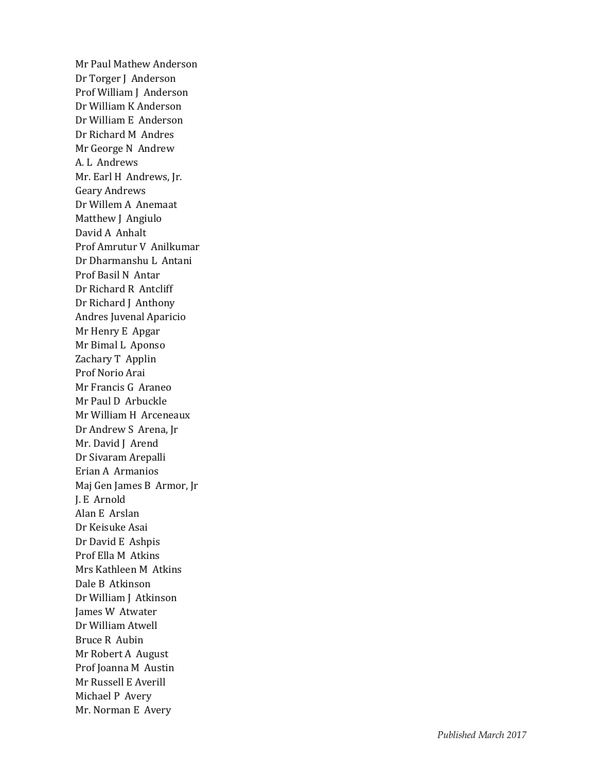Mr Paul Mathew Anderson Dr Torger J Anderson Prof William J Anderson Dr William K Anderson Dr William E Anderson Dr Richard M Andres Mr George N Andrew A. L Andrews Mr. Earl H Andrews, Jr. Geary Andrews Dr Willem A Anemaat Matthew J Angiulo David A Anhalt Prof Amrutur V Anilkumar Dr Dharmanshu L Antani Prof Basil N Antar Dr Richard R Antcliff Dr Richard J Anthony Andres Juvenal Aparicio Mr Henry E Apgar Mr Bimal L Aponso Zachary T Applin Prof Norio Arai Mr Francis G Araneo Mr Paul D Arbuckle Mr William H Arceneaux Dr Andrew S Arena, Jr Mr. David J Arend Dr Sivaram Arepalli Erian A Armanios Maj Gen James B Armor, Jr J. E Arnold Alan E Arslan Dr Keisuke Asai Dr David E Ashpis Prof Ella M Atkins Mrs Kathleen M Atkins Dale B Atkinson Dr William J Atkinson James W Atwater Dr William Atwell Bruce R Aubin Mr Robert A August Prof Joanna M Austin Mr Russell E Averill Michael P Avery Mr. Norman E Avery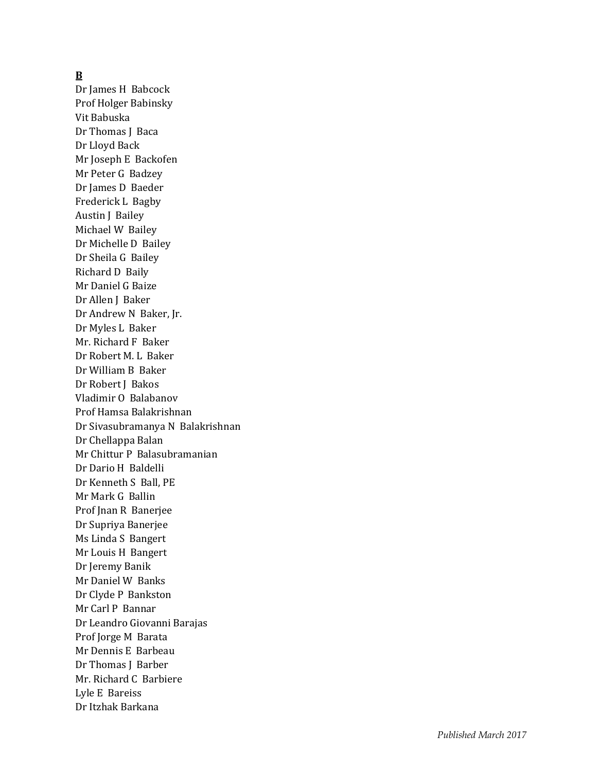### **B**

Dr James H Babcock Prof Holger Babinsky Vit Babuska Dr Thomas J Baca Dr Lloyd Back Mr Joseph E Backofen Mr Peter G Badzey Dr James D Baede r Frederick L Bagby Austin J Bailey Michael W Bailey Dr Michelle D Bailey Dr Sheila G Bailey Richard D Baily Mr Daniel G Baize Dr Allen J Baker Dr Andrew N Baker, Jr. Dr Myles L Baker Mr. Richard F Baker Dr Robert M. L Baker Dr William B Baker Dr Robert J Bakos Vladimir O Balabanov Prof Hamsa Balakrishnan Dr Sivasubramanya N Balakrishnan Dr Chellappa Balan Mr Chittur P Balasubramanian Dr Dario H Baldelli Dr Kenneth S Ball, PE Mr Mark G Ballin Prof Jnan R Banerjee Dr Supriya Banerjee Ms Linda S Bangert Mr Louis H Bangert Dr Jeremy Banik Mr Daniel W Banks Dr Clyde P Bankston Mr Carl P Bannar Dr Leandro Giovanni Barajas Prof Jorge M Barata Mr Dennis E Barbeau Dr Thomas J Barber Mr. Richard C Barbiere Lyle E Bareiss Dr Itzhak Barkana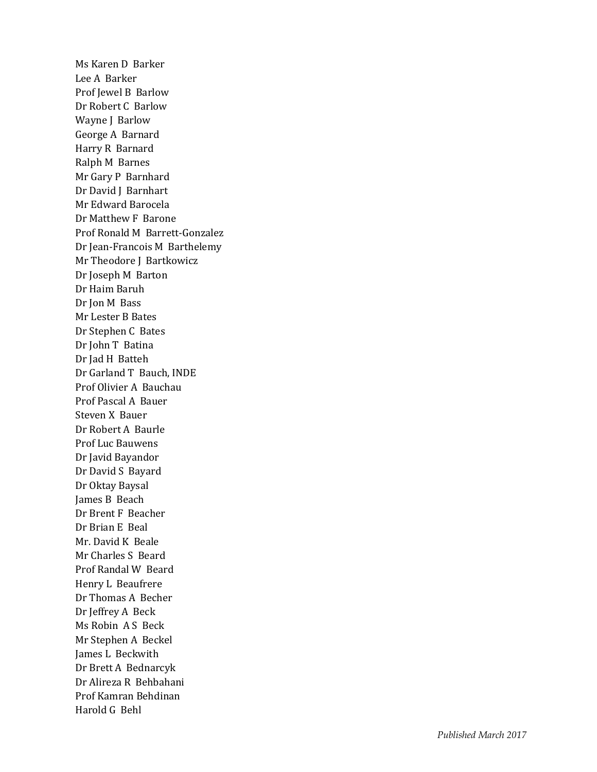Ms Karen D Barker Lee A Barker Prof Jewel B Barlow Dr Robert C Barlow Wayne J Barlow George A Barnard Harry R Barnard Ralph M Barnes Mr Gary P Barnhard Dr David J Barnhart Mr Edward Barocela Dr Matthew F Barone Prof Ronald M Barrett -Gonzalez Dr Jean -Francois M Barthelemy Mr Theodore J Bartkowicz Dr Joseph M Barton Dr Haim Baruh Dr Jon M Bass Mr Lester B Bates Dr Stephen C Bates Dr John T Batina Dr Jad H Batteh Dr Garland T Bauch, INDE Prof Olivier A Bauchau Prof Pascal A Bauer Steven X Bauer Dr Robert A Baurle Prof Luc Bauwens Dr Javid Bayandor Dr David S Bayard Dr Oktay Baysal James B Beach Dr Brent F Beacher Dr Brian E Beal Mr. David K Beale Mr Charles S Beard Prof Randal W Beard Henry L Beaufrere Dr Thomas A Becher Dr Jeffrey A Beck Ms Robin A S Beck Mr Stephen A Beckel James L Beckwith Dr Brett A Bednarcyk Dr Alireza R Behbahani Prof Kamran Behdinan Harold G Behl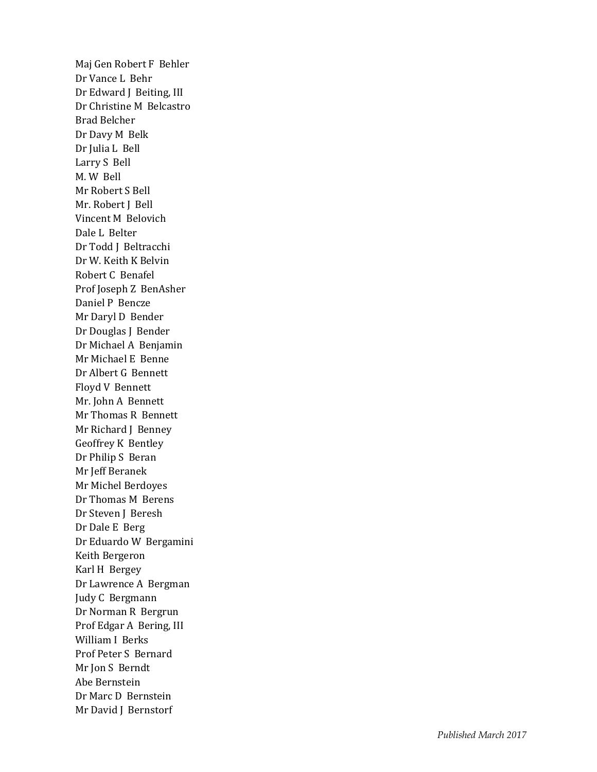Maj Gen Robert F Behler Dr Vance L Behr Dr Edward J Beiting, III Dr Christine M Belcastro Brad Belcher Dr Davy M Belk Dr Julia L Bell Larry S Bell M. W Bell Mr Robert S Bell Mr. Robert J Bell Vincent M Belovich Dale L Belter Dr Todd J Beltracchi Dr W. Keith K Belvin Robert C Benafel Prof Joseph Z BenAsher Daniel P Bencze Mr Daryl D Bender Dr Douglas J Bender Dr Michael A Benjamin Mr Michael E Benne Dr Albert G Bennett Floyd V Bennett Mr. John A Bennett Mr Thomas R Bennett Mr Richard J Benney Geoffrey K Bentley Dr Philip S Beran Mr Jeff Beranek Mr Michel Berdoyes Dr Thomas M Berens Dr Steven J Beresh Dr Dale E Berg Dr Eduardo W Bergamini Keith Bergeron Karl H Bergey Dr Lawrence A Bergman Judy C Bergmann Dr Norman R Bergrun Prof Edgar A Bering, III William I Berks Prof Peter S Bernard Mr Jon S Berndt Abe Bernstein Dr Marc D Bernstein Mr David J Bernstorf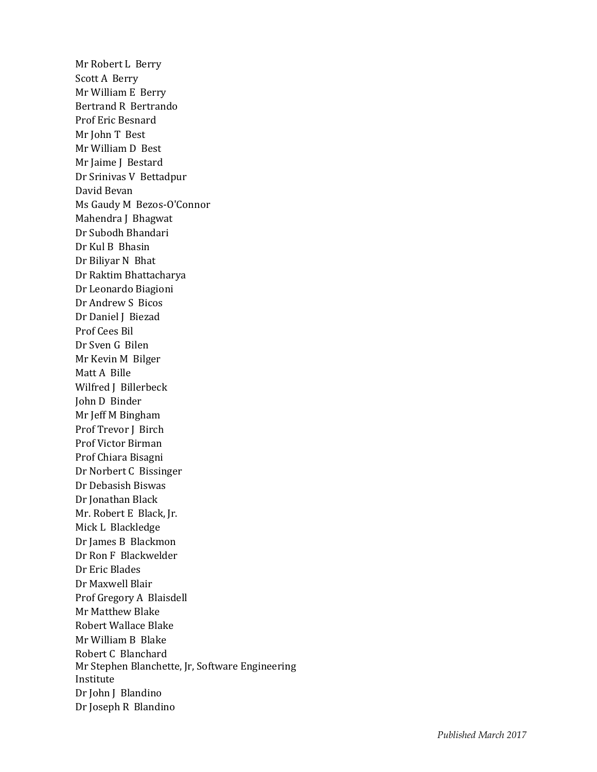Mr Robert L Berry Scott A Berry Mr William E Berry Bertrand R Bertrando Prof Eric Besnard Mr John T Best Mr William D Best Mr Jaime J Bestard Dr Srinivas V Bettadpur David Bevan Ms Gaudy M Bezos-O'Connor Mahendra J Bhagwat Dr Subodh Bhandari Dr Kul B Bhasin Dr Biliyar N Bhat Dr Raktim Bhattacharya Dr Leonardo Biagioni Dr Andrew S Bicos Dr Daniel J Biezad Prof Cees Bil Dr Sven G Bilen Mr Kevin M Bilger Matt A Bille Wilfred J Billerbeck John D Binder Mr Jeff M Bingham Prof Trevor J Birch Prof Victor Birman Prof Chiara Bisagni Dr Norbert C Bissinger Dr Debasish Biswas Dr Jonathan Black Mr. Robert E Black, Jr. Mick L Blackledge Dr James B Blackmon Dr Ron F Blackwelder Dr Eric Blades Dr Maxwell Blair Prof Gregory A Blaisdell Mr Matthew Blake Robert Wallace Blake Mr William B Blake Robert C Blanchard Mr Stephen Blanchette, Jr, Software Engineering Institute Dr John J Blandino Dr Joseph R Blandino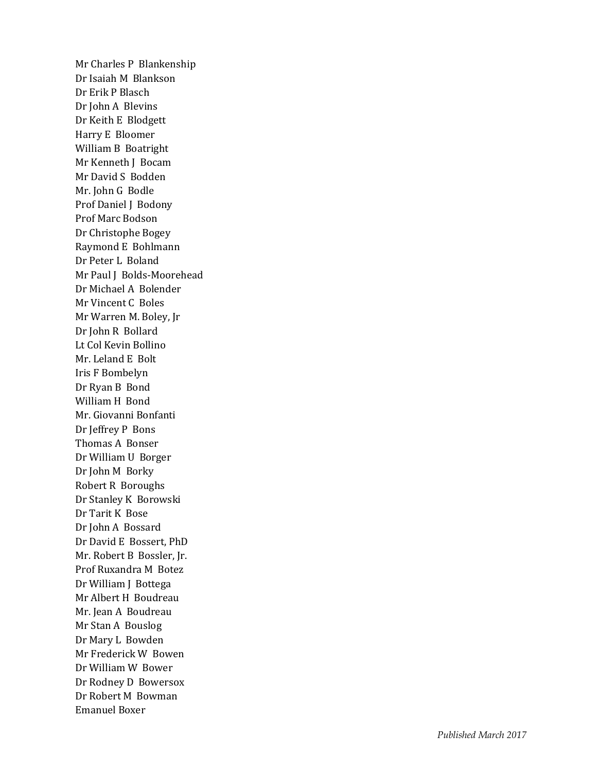Mr Charles P Blankenship Dr Isaiah M Blankson Dr Erik P Blasch Dr John A Blevins Dr Keith E Blodgett Harry E Bloomer William B Boatright Mr Kenneth J Bocam Mr David S Bodden Mr. John G Bodle Prof Daniel J Bodony Prof Marc Bodson Dr Christophe Bogey Raymond E Bohlmann Dr Peter L Boland Mr Paul J Bolds -Moorehead Dr Michael A Bolender Mr Vincent C Boles Mr Warren M. Boley, Jr Dr John R Bollard Lt Col Kevin Bollino Mr. Leland E Bolt Iris F Bombelyn Dr Ryan B Bond William H Bond Mr. Giovanni Bonfanti Dr Jeffrey P Bons Thomas A Bonser Dr William U Borger Dr John M Borky Robert R Boroughs Dr Stanley K Borowski Dr Tarit K Bose Dr John A Bossard Dr David E Bossert, PhD Mr. Robert B Bossler, Jr. Prof Ruxandra M Botez Dr William J Bottega Mr Albert H Boudreau Mr. Jean A Boudreau Mr Stan A Bouslog Dr Mary L Bowden Mr Frederick W Bowen Dr William W Bower Dr Rodney D Bowersox Dr Robert M Bowman Emanuel Boxer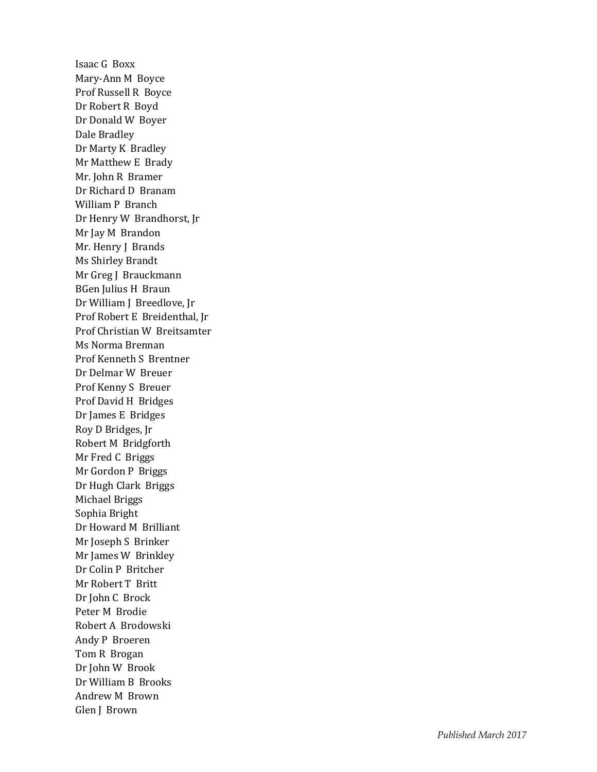Isaac G Boxx Mary -Ann M Boyce Prof Russell R Boyce Dr Robert R Boyd Dr Donald W Boyer Dale Bradley Dr Marty K Bradley Mr Matthew E Brady Mr. John R Bramer Dr Richard D Branam William P Branch Dr Henry W Brandhorst, Jr Mr Jay M Brandon Mr. Henry J Brands Ms Shirley Brandt Mr Greg J Brauckmann BGen Julius H Braun Dr William J Breedlove, Jr Prof Robert E Breidenthal, Jr Prof Christian W Breitsamter Ms Norma Brennan Prof Kenneth S Brentner Dr Delmar W Breuer Prof Kenny S Breuer Prof David H Bridges Dr James E Bridges Roy D Bridges, Jr Robert M Bridgforth Mr Fred C Briggs Mr Gordon P Briggs Dr Hugh Clark Briggs Michael Briggs Sophia Bright Dr Howard M Brilliant Mr Joseph S Brinker Mr James W Brinkley Dr Colin P Britcher Mr Robert T Britt Dr John C Brock Peter M Brodie Robert A Brodowski Andy P Broeren Tom R Brogan Dr John W Brook Dr William B Brooks Andrew M Brown Glen J Brown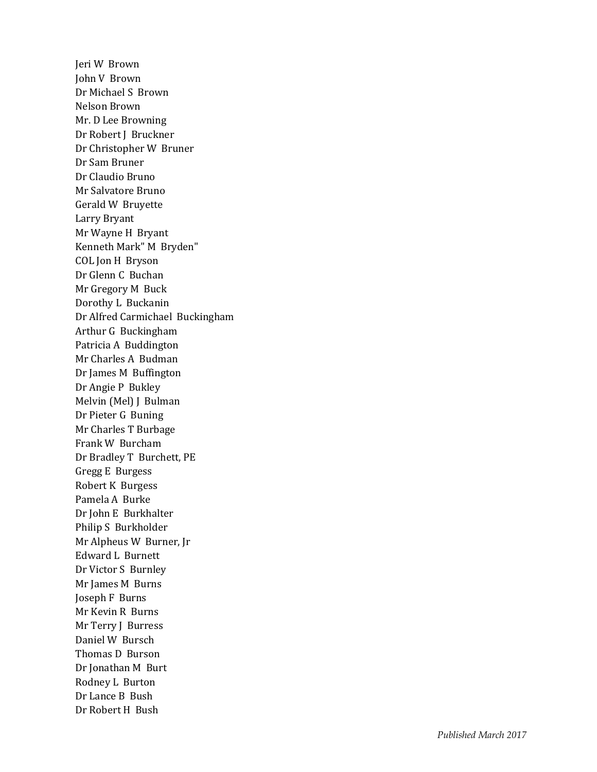Jeri W Brown John V Brown Dr Michael S Brown Nelson Brown Mr. D Lee Browning Dr Robert J Bruckner Dr Christopher W Bruner Dr Sam Bruner Dr Claudio Bruno Mr Salvatore Bruno Gerald W Bruyette Larry Bryant Mr Wayne H Bryant Kenneth Mark" M Bryden" COL Jon H Bryson Dr Glenn C Buchan Mr Gregory M Buck Dorothy L Buckanin Dr Alfred Carmichael Buckingham Arthur G Buckingham Patricia A Buddington Mr Charles A Budman Dr James M Buffington Dr Angie P Bukley Melvin (Mel) J Bulman Dr Pieter G Buning Mr Charles T Burbage Frank W Burcham Dr Bradley T Burchett, PE Gregg E Burgess Robert K Burgess Pamela A Burke Dr John E Burkhalter Philip S Burkholder Mr Alpheus W Burner, Jr Edward L Burnett Dr Victor S Burnley Mr James M Burns Joseph F Burns Mr Kevin R Burns Mr Terry J Burress Daniel W Bursch Thomas D Burson Dr Jonathan M Burt Rodney L Burton Dr Lance B Bush Dr Robert H Bush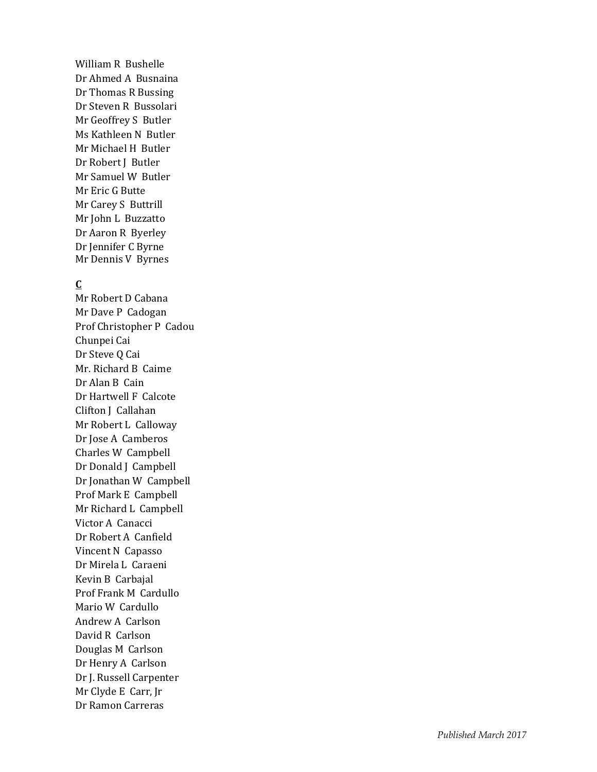William R Bushelle Dr Ahmed A Busnaina Dr Thomas R Bussing Dr Steven R Bussolari Mr Geoffrey S Butler Ms Kathleen N Butler Mr Michael H Butler Dr Robert J Butler Mr Samuel W Butler Mr Eric G Butte Mr Carey S Buttrill Mr John L Buzzatto Dr Aaron R Byerley Dr Jennifer C Byrne Mr Dennis V Byrnes

# **C**

Mr Robert D Cabana Mr Dave P Cadogan Prof Christopher P Cadou Chunpei Cai Dr Steve Q Cai Mr. Richard B Caime Dr Alan B Cain Dr Hartwell F Calcote Clifton J Callahan Mr Robert L Calloway Dr Jose A Camberos Charles W Campbell Dr Donald J Campbell Dr Jonathan W Campbell Prof Mark E Campbell Mr Richard L Campbell Victor A Canacci Dr Robert A Canfield Vincent N Capasso Dr Mirela L Caraeni Kevin B Carbajal Prof Frank M Cardullo Mario W Cardullo Andrew A Carlson David R Carlson Douglas M Carlson Dr Henry A Carlson Dr J. Russell Carpenter Mr Clyde E Carr, Jr Dr Ramon Carreras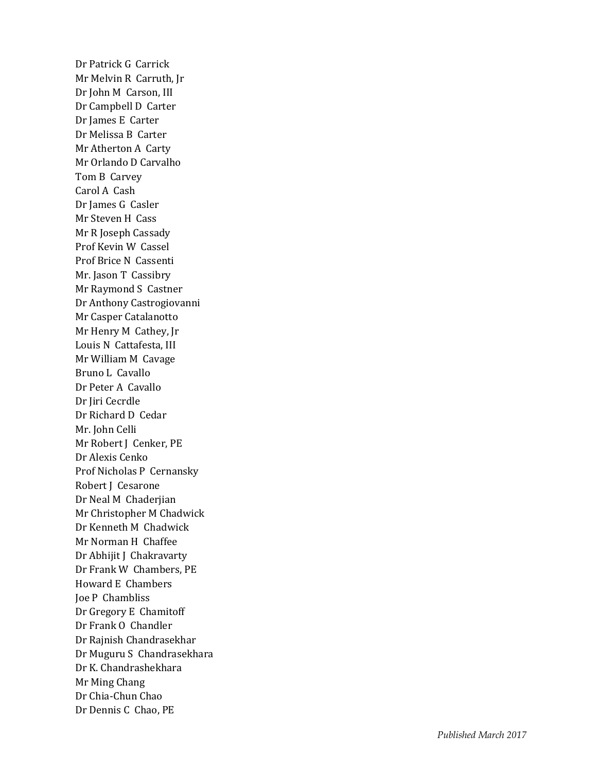Dr Patrick G Carrick Mr Melvin R Carruth, Jr Dr John M Carson, III Dr Campbell D Carter Dr James E Carter Dr Melissa B Carter Mr Atherton A Carty Mr Orlando D Carvalho Tom B Carvey Carol A Cash Dr James G Casler Mr Steven H Cass Mr R Joseph Cassady Prof Kevin W Cassel Prof Brice N Cassenti Mr. Jason T Cassibry Mr Raymond S Castner Dr Anthony Castrogiovanni Mr Casper Catalanotto Mr Henry M Cathey, Jr Louis N Cattafesta, III Mr William M Cavage Bruno L Cavallo Dr Peter A Cavallo Dr Jiri Cecrdle Dr Richard D Cedar Mr. John Celli Mr Robert J Cenker, PE Dr Alexis Cenko Prof Nicholas P Cernansky Robert J Cesarone Dr Neal M Chaderjian Mr Christopher M Chadwick Dr Kenneth M Chadwick Mr Norman H Chaffee Dr Abhijit J Chakravarty Dr Frank W Chambers, PE Howard E Chambers Joe P Chambliss Dr Gregory E Chamitoff Dr Frank O Chandler Dr Rajnish Chandrasekhar Dr Muguru S Chandrasekhara Dr K. Chandrashekhara Mr Ming Chang Dr Chia -Chun Chao Dr Dennis C Chao, PE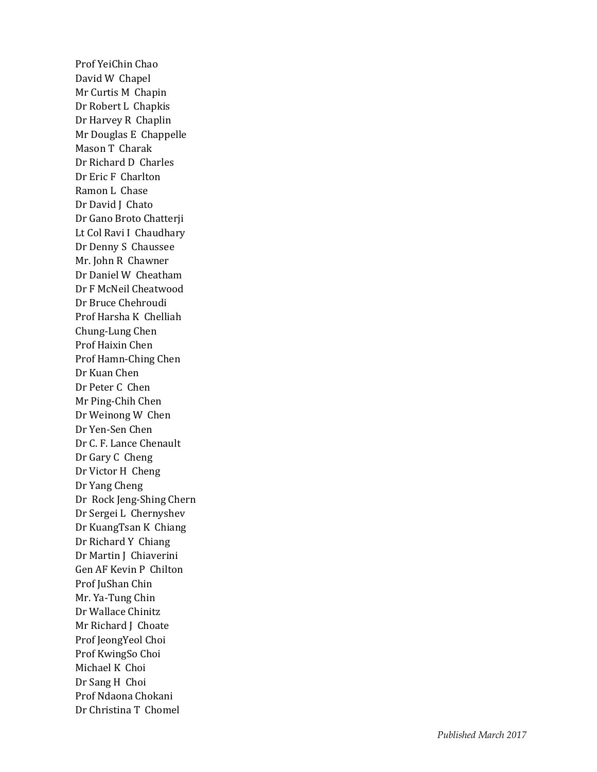Prof YeiChin Chao David W Chapel Mr Curtis M Chapin Dr Robert L Chapki s Dr Harvey R Chaplin Mr Douglas E Chappelle Mason T Charak Dr Richard D Charles Dr Eric F Charlton Ramon L Chase Dr David J Chato Dr Gano Broto Chatterji Lt Col Ravi I Chaudhary Dr Denny S Chaussee Mr. John R Chawner Dr Daniel W Cheatham Dr F McNeil Cheatwood Dr Bruce Chehroudi Prof Harsha K Chelliah Chung -Lung Chen Prof Haixin Chen Prof Hamn -Ching Chen Dr Kuan Chen Dr Peter C Chen Mr Ping -Chih Chen Dr Weinong W Chen Dr Yen -Sen Chen Dr C. F. Lance Chenault Dr Gary C Cheng Dr Victor H Cheng Dr Yang Cheng Dr Rock Jeng -Shing Chern Dr Sergei L Chernyshev Dr KuangTsan K Chiang Dr Richard Y Chiang Dr Martin J Chiaverini Gen AF Kevin P Chilton Prof JuShan Chin Mr. Ya -Tung Chin Dr Wallace Chinitz Mr Richard J Choate Prof JeongYeol Choi Prof KwingSo Choi Michael K Choi Dr Sang H Choi Prof Ndaona Chokani Dr Christina T Chomel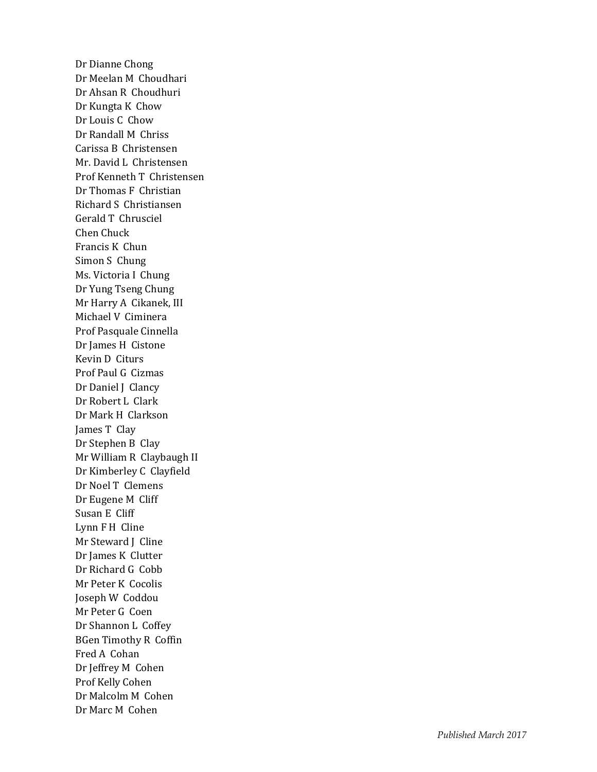Dr Dianne Chong Dr Meelan M Choudhari Dr Ahsan R Choudhuri Dr Kungta K Chow Dr Louis C Chow Dr Randall M Chriss Carissa B Christensen Mr. David L Christensen Prof Kenneth T Christensen Dr Thomas F Christian Richard S Christiansen Gerald T Chrusciel Chen Chuck Francis K Chun Simon S Chung Ms. Victoria I Chung Dr Yung Tseng Chung Mr Harry A Cikanek, III Michael V Ciminera Prof Pasquale Cinnella Dr James H Cistone Kevin D Citurs Prof Paul G Cizmas Dr Daniel J Clancy Dr Robert L Clark Dr Mark H Clarkson James T Clay Dr Stephen B Clay Mr William R Claybaugh II Dr Kimberley C Clayfield Dr Noel T Clemens Dr Eugene M Cliff Susan E Cliff Lynn F H Cline Mr Steward J Cline Dr James K Clutter Dr Richard G Cobb Mr Peter K Cocolis Joseph W Coddou Mr Peter G Coen Dr Shannon L Coffey BGen Timothy R Coffin Fred A Coha n Dr Jeffrey M Cohen Prof Kelly Cohen Dr Malcolm M Cohen Dr Marc M Cohen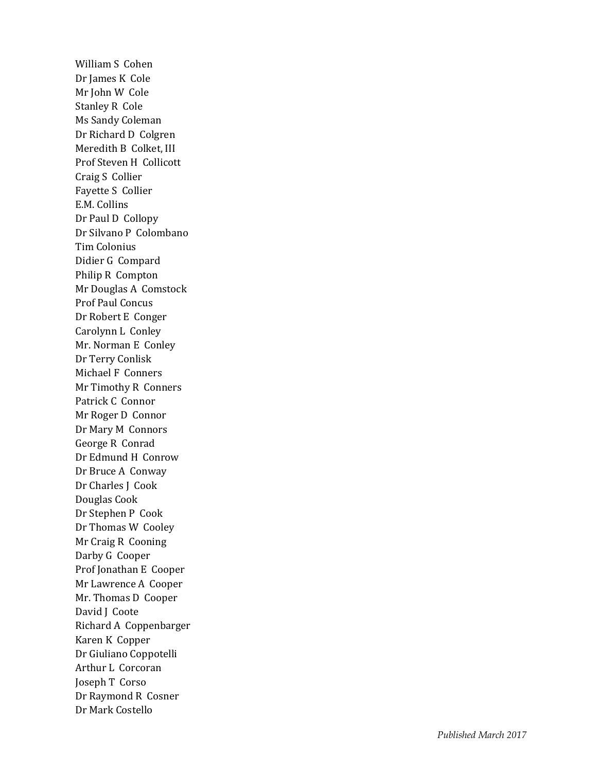William S Cohen Dr James K Cole Mr John W Cole Stanley R Cole Ms Sandy Coleman Dr Richard D Colgren Meredith B Colket, III Prof Steven H Collicott Craig S Collier Fayette S Collier E.M. Collins Dr Paul D Collopy Dr Silvano P Colombano Tim Colonius Didier G Compard Philip R Compton Mr Douglas A Comstock Prof Paul Concus Dr Robert E Conger Carolynn L Conley Mr. Norman E Conley Dr Terry Conlis k Michael F Conners Mr Timothy R Conners Patrick C Connor Mr Roger D Connor Dr Mary M Connors George R Conrad Dr Edmund H Conrow Dr Bruce A Conway Dr Charles J Cook Douglas Cook Dr Stephen P Cook Dr Thomas W Cooley Mr Craig R Cooning Darby G Cooper Prof Jonathan E Cooper Mr Lawrence A Cooper Mr. Thomas D Cooper David J Coote Richard A Coppenbarger Karen K Copper Dr Giuliano Coppotelli Arthur L Corcoran Joseph T Corso Dr Raymond R Cosner Dr Mark Costello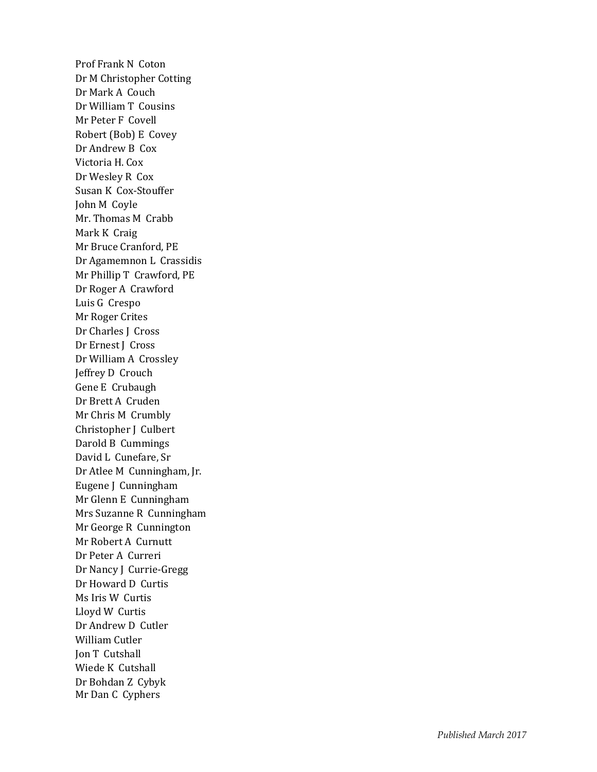Prof Frank N Coton Dr M Christopher Cotting Dr Mark A Couch Dr William T Cousins Mr Peter F Covell Robert (Bob) E Covey Dr Andrew B Cox Victoria H. Cox Dr Wesley R Cox Susan K Cox -Stouffer John M Coyle Mr. Thomas M Crabb Mark K Craig Mr Bruce Cranford, PE Dr Agamemnon L Crassidis Mr Phillip T Crawford, PE Dr Roger A Crawford Luis G Crespo Mr Roger Crites Dr Charles J Cross Dr Ernest J Cross Dr William A Crossley Jeffrey D Crouch Gene E Crubaugh Dr Brett A Cruden Mr Chris M Crumbly Christopher J Culbert Darold B Cummings David L Cunefare, Sr Dr Atlee M Cunningham, Jr. Eugene J Cunningham Mr Glenn E Cunningham Mrs Suzanne R Cunningham Mr George R Cunnington Mr Robert A Curnutt Dr Peter A Curreri Dr Nancy J Currie -Gregg Dr Howard D Curtis Ms Iris W Curtis Lloyd W Curtis Dr Andrew D Cutler William Cutler Jon T Cutshall Wiede K Cutshall Dr Bohdan Z Cybyk Mr Dan C Cyphers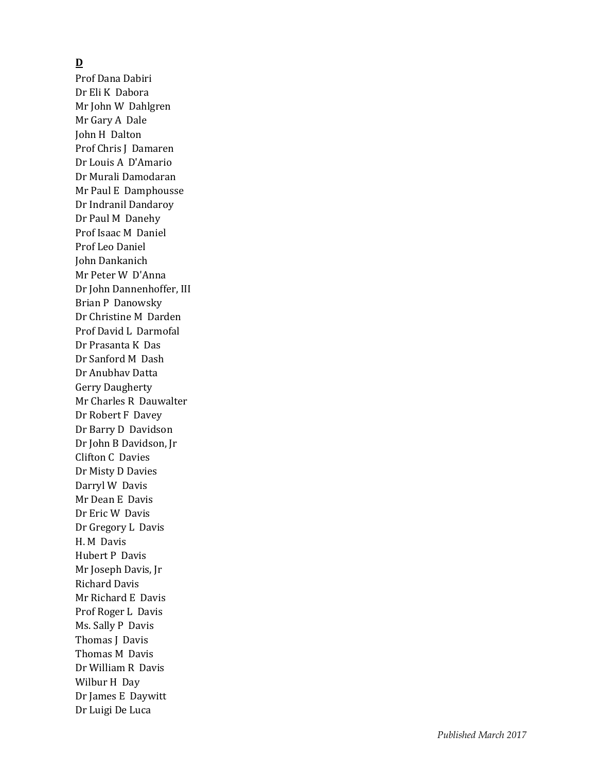## **D**

Prof Dana Dabiri Dr Eli K Dabora Mr John W Dahlgren Mr Gary A Dale John H Dalton Prof Chris J Damaren Dr Louis A D'Amario Dr Murali Damodaran Mr Paul E Damphousse Dr Indranil Dandaroy Dr Paul M Danehy Prof Isaac M Daniel Prof Leo Daniel John Dankanich Mr Peter W D'Anna Dr John Dannenhoffer, III Brian P Danowsky Dr Christine M Darden Prof David L Darmofal Dr Prasanta K Das Dr Sanford M Dash Dr Anubhav Datta Gerry Daugherty Mr Charles R Dauwalter Dr Robert F Davey Dr Barry D Davidson Dr John B Davidson, Jr Clifton C Davies Dr Misty D Davies Darryl W Davis Mr Dean E Davis Dr Eric W Davis Dr Gregory L Davis H. M Davis Hubert P Davis Mr Joseph Davis, Jr Richard Davis Mr Richard E Davis Prof Roger L Davis Ms. Sally P Davis Thomas J Davis Thomas M Davis Dr William R Davis Wilbur H Day Dr James E Daywitt Dr Luigi De Luca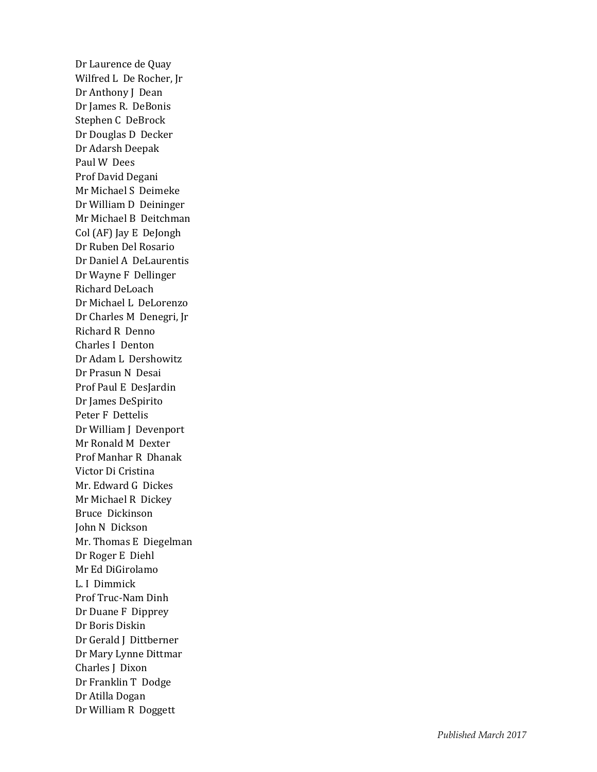Dr Laurence de Quay Wilfred L De Rocher, Jr Dr Anthony J Dean Dr James R. DeBonis Stephen C DeBrock Dr Douglas D Decker Dr Adarsh Deepak Paul W Dees Prof David Degani Mr Michael S Deimeke Dr William D Deininger Mr Michael B Deitchman Col (AF) Jay E DeJongh Dr Ruben Del Rosario Dr Daniel A DeLaurentis Dr Wayne F Dellinger Richard DeLoach Dr Michael L DeLorenzo Dr Charles M Denegri, Jr Richard R Denno Charles I Denton Dr Adam L Dershowitz Dr Prasun N Desai Prof Paul E DesJardin Dr James DeSpirito Peter F Dettelis Dr William J Devenport Mr Ronald M Dexter Prof Manhar R Dhanak Victor Di Cristina Mr. Edward G Dickes Mr Michael R Dicke y Bruce Dickinson John N Dickson Mr. Thomas E Diegelman Dr Roger E Diehl Mr Ed DiGirolamo L. I Dimmick Prof Truc -Nam Dinh Dr Duane F Dipprey Dr Boris Diskin Dr Gerald J Dittberner Dr Mary Lynne Dittmar Charles J Dixon Dr Franklin T Dodge Dr Atilla Dogan Dr William R Doggett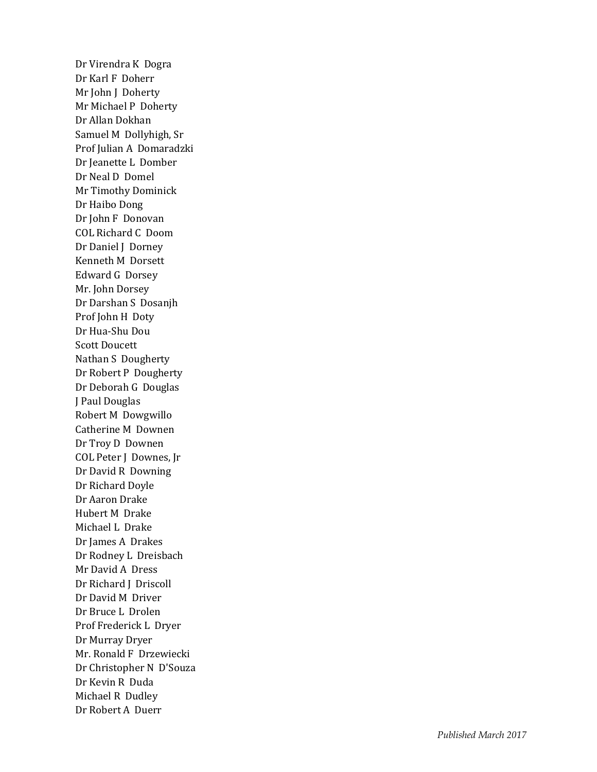Dr Virendra K Dogra Dr Karl F Doherr Mr John J Doherty Mr Michael P Doherty Dr Allan Dokhan Samuel M Dollyhigh, Sr Prof Julian A Domaradzki Dr Jeanette L Domber Dr Neal D Domel Mr Timothy Dominick Dr Haibo Dong Dr John F Donovan COL Richard C Doom Dr Daniel J Dorney Kenneth M Dorsett Edward G Dorsey Mr. John Dorsey Dr Darshan S Dosanjh Prof John H Doty Dr Hua -Shu Dou Scott Doucett Nathan S Dougherty Dr Robert P Dougherty Dr Deborah G Douglas J Paul Douglas Robert M Dowgwillo Catherine M Downen Dr Troy D Downen COL Peter J Downes, Jr Dr David R Downing Dr Richard Doyle Dr Aaron Drake Hubert M Drake Michael L Drake Dr James A Drakes Dr Rodney L Dreisbach Mr David A Dress Dr Richard J Driscoll Dr David M Driver Dr Bruce L Drolen Prof Frederick L Dryer Dr Murray Dryer Mr. Ronald F Drzewiecki Dr Christopher N D'Souza Dr Kevin R Duda Michael R Dudley Dr Robert A Duerr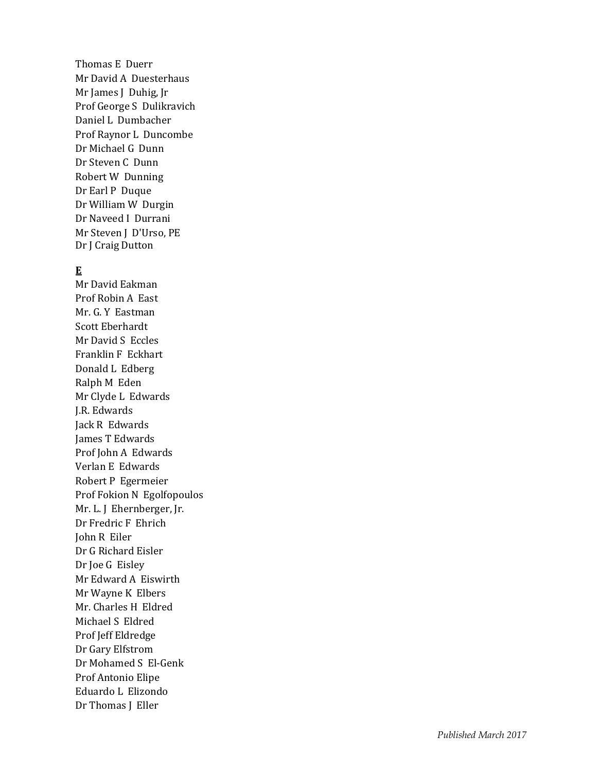Thomas E Duerr Mr David A Duesterhaus Mr James J Duhig, Jr Prof George S Dulikravich Daniel L Dumbacher Prof Raynor L Duncombe Dr Michael G Dunn Dr Steven C Dunn Robert W Dunning Dr Earl P Duque Dr William W Durgin Dr Naveed I Durrani Mr Steven J D'Urso, PE Dr J Craig Dutton

#### **E**

Mr David Eakman Prof Robin A East Mr. G. Y Eastman Scott Eberhardt Mr David S Eccles Franklin F Eckhart Donald L Edberg Ralph M Eden Mr Clyde L Edwards J.R. Edwards Jack R Edwards James T Edwards Prof John A Edwards Verlan E Edwards Robert P Egermeier Prof Fokion N Egolfopoulos Mr. L. J Ehernberger, Jr. Dr Fredric F Ehrich John R Eiler Dr G Richard Eisler Dr Joe G Eisley Mr Edward A Eiswirth Mr Wayne K Elbers Mr. Charles H Eldred Michael S Eldred Prof Jeff Eldredge Dr Gary Elfstrom Dr Mohamed S El -Genk Prof Antonio Elipe Eduardo L Elizondo Dr Thomas J Eller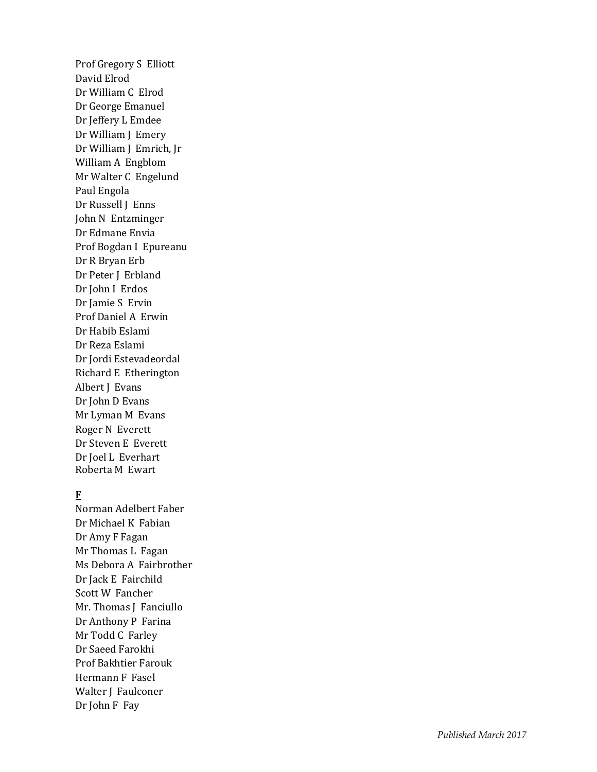Prof Gregory S Elliott David Elrod Dr William C Elrod Dr George Emanuel Dr Jeffery L Emdee Dr William J Emery Dr William J Emrich, Jr William A Engblom Mr Walter C Engelund Paul Engola Dr Russell J Enns John N Entzminger Dr Edmane Envia Prof Bogdan I Epureanu Dr R Bryan Erb Dr Peter J Erbland Dr John I Erdos Dr Jamie S Ervin Prof Daniel A Erwi n Dr Habib Eslami Dr Reza Eslami Dr Jordi Estevadeordal Richard E Etherington Albert J Evans Dr John D Evans Mr Lyman M Evans Roger N Everett Dr Steven E Everett Dr Joel L Everhart Roberta M Ewart

### **F**

Norman Adelbert Faber Dr Michael K Fabian Dr Amy F Fagan Mr Thomas L Fagan Ms Debora A Fairbrother Dr Jack E Fairchild Scott W Fancher Mr. Thomas J Fanciullo Dr Anthony P Farina Mr Todd C Farley Dr Saeed Farokhi Prof Bakhtier Farouk Hermann F Fasel Walter J Faulconer Dr John F Fay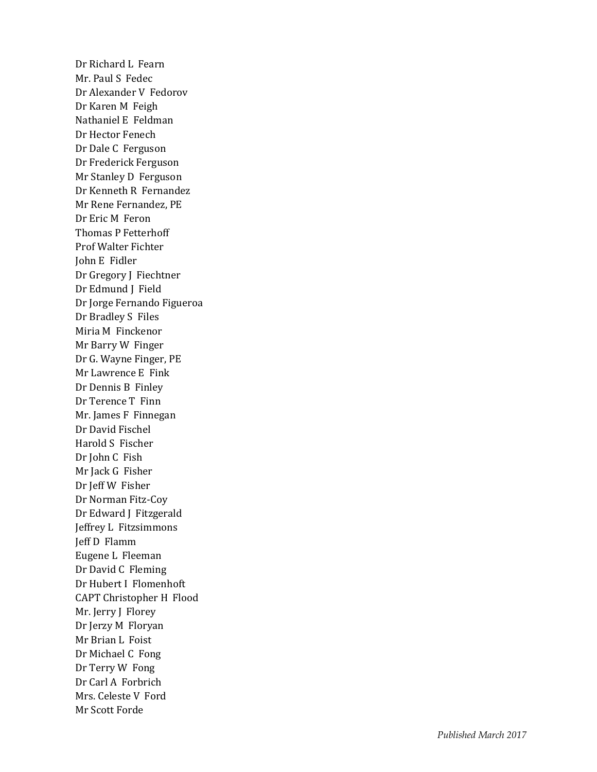Dr Richard L Fearn Mr. Paul S Fedec Dr Alexander V Fedorov Dr Karen M Feigh Nathaniel E Feldman Dr Hector Fenech Dr Dale C Ferguson Dr Frederick Ferguson Mr Stanley D Ferguson Dr Kenneth R Fernandez Mr Rene Fernandez, PE Dr Eric M Feron Thomas P Fetterhoff Prof Walter Fichter John E Fidler Dr Gregory J Fiechtner Dr Edmund J Field Dr Jorge Fernando Figueroa Dr Bradley S Files Miria M Finckenor Mr Barry W Finger Dr G. Wayne Finger, PE Mr Lawrence E Fink Dr Dennis B Finley Dr Terence T Finn Mr. James F Finnegan Dr David Fischel Harold S Fischer Dr John C Fish Mr Jack G Fisher Dr Jeff W Fisher Dr Norman Fitz -Coy Dr Edward J Fitzgerald Jeffrey L Fitzsimmons Jeff D Flamm Eugene L Fleeman Dr David C Fleming Dr Hubert I Flomenhoft CAPT Christopher H Flood Mr. Jerry J Florey Dr Jerzy M Floryan Mr Brian L Foist Dr Michael C Fong Dr Terry W Fong Dr Carl A Forbrich Mrs. Celeste V Ford Mr Scott Forde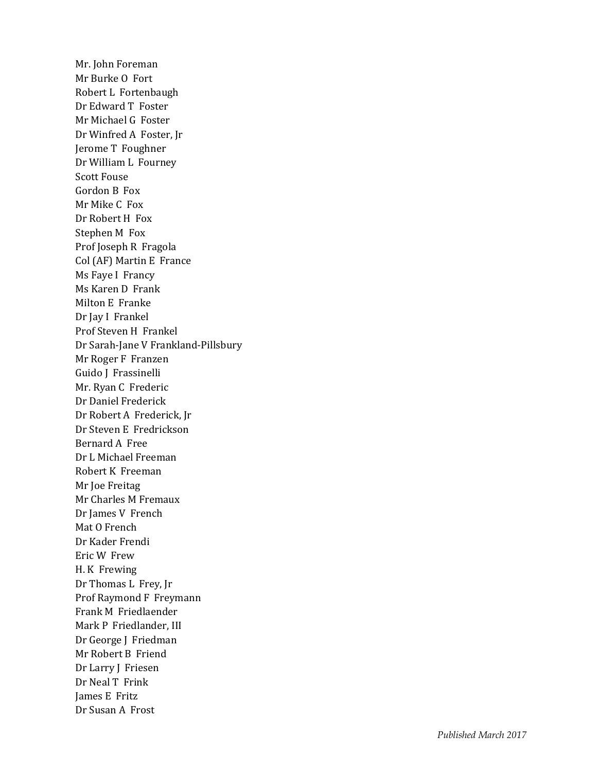Mr. John Foreman Mr Burke O Fort Robert L Fortenbaugh Dr Edward T Foster Mr Michael G Foster Dr Winfred A Foster, Jr Jerome T Foughner Dr William L Fourney Scott Fouse Gordon B Fox Mr Mike C Fox Dr Robert H Fox Stephen M Fox Prof Joseph R Fragola Col (AF) Martin E France Ms Faye I Francy Ms Karen D Frank Milton E Franke Dr Jay I Frankel Prof Steven H Frankel Dr Sarah -Jane V Frankland -Pillsbury Mr Roger F Franzen Guido J Frassinelli Mr. Ryan C Frederic Dr Daniel Frederick Dr Robert A Frederick, Jr Dr Steven E Fredrickson Bernard A Free Dr L Michael Freeman Robert K Freeman Mr Joe Freitag Mr Charles M Fremaux Dr James V French Mat O French Dr Kader Frendi Eric W Frew H. K Frewing Dr Thomas L Frey, Jr Prof Raymond F Freymann Frank M Friedlaender Mark P Friedlander, III Dr George J Friedman Mr Robert B Friend Dr Larry J Friesen Dr Neal T Frink James E Fritz Dr Susan A Frost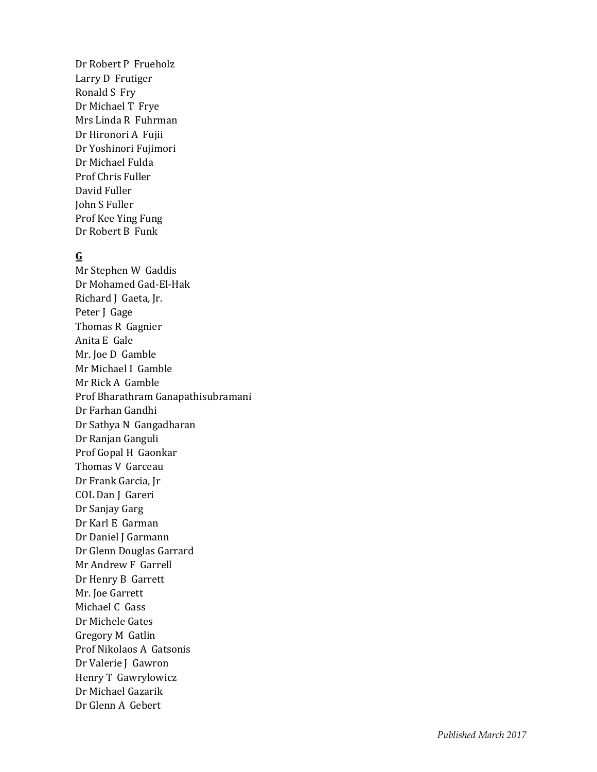Dr Robert P Frueholz Larry D Frutiger Ronald S Fry Dr Michael T Frye Mrs Linda R Fuhrman Dr Hironori A Fujii Dr Yoshinori Fujimori Dr Michael Fulda Prof Chris Fuller David Fuller John S Fuller Prof Kee Ying Fung Dr Robert B Funk

#### **G**

Mr Stephen W Gaddis Dr Mohamed Gad -El -Hak Richard J Gaeta, Jr. Peter J Gage Thomas R Gagnier Anita E Gale Mr. Joe D Gamble Mr Michael I Gamble Mr Rick A Gamble Prof Bharathram Ganapathisubramani Dr Farhan Gandhi Dr Sathya N Gangadharan Dr Ranjan Ganguli Prof Gopal H Gaonkar Thomas V Garceau Dr Frank Garcia, Jr COL Dan J Gareri Dr Sanjay Garg Dr Karl E Garman Dr Daniel J Garmann Dr Glenn Douglas Garrard Mr Andrew F Garrell Dr Henry B Garrett Mr. Joe Garrett Michael C Gass Dr Michele Gates Gregory M Gatlin Prof Nikolaos A Gatsonis Dr Valerie J Gawron Henry T Gawrylowicz Dr Michael Gazarik Dr Glenn A Gebert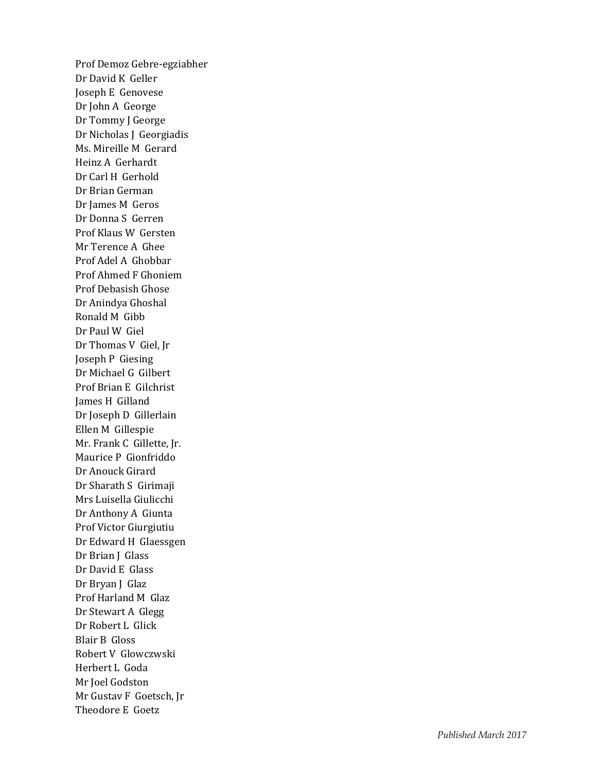Prof Demoz Gebre -egziabher Dr David K Geller Joseph E Genovese Dr John A George Dr Tommy J George Dr Nicholas J Georgiadis Ms. Mireille M Gerard Heinz A Gerhardt Dr Carl H Gerhold Dr Brian German Dr James M Geros Dr Donna S Gerren Prof Klaus W Gersten Mr Terence A Ghee Prof Adel A Ghobbar Prof Ahmed F Ghoniem Prof Debasish Ghose Dr Anindya Ghoshal Ronald M Gibb Dr Paul W Giel Dr Thomas V Giel, Jr Joseph P Giesing Dr Michael G Gilbert Prof Brian E Gilchrist James H Gilland Dr Joseph D Gillerlain Ellen M Gillespie Mr. Frank C Gillette, Jr. Maurice P Gionfriddo Dr Anouck Girard Dr Sharath S Girimaji Mrs Luisella Giulicchi Dr Anthony A Giunta Prof Victor Giurgiutiu Dr Edward H Glaessgen Dr Brian J Glass Dr David E Glass Dr Bryan J Glaz Prof Harland M Glaz Dr Stewart A Glegg Dr Robert L Glick Blair B Gloss Robert V Glowczwski Herbert L Goda Mr Joel Godston Mr Gustav F Goetsch, Jr Theodore E Goetz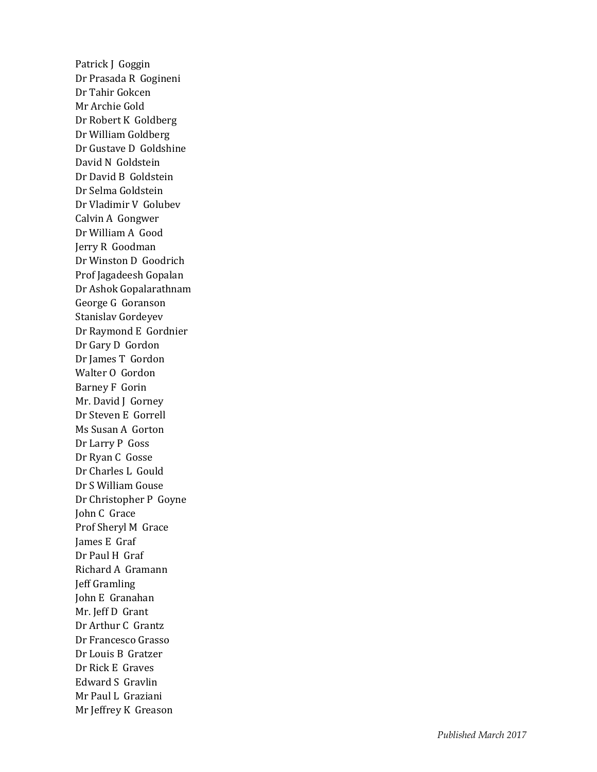Patrick J Goggin Dr Prasada R Gogineni Dr Tahir Gokcen Mr Archie Gold Dr Robert K Goldberg Dr William Goldberg Dr Gustave D Goldshine David N Goldstein Dr David B Goldstein Dr Selma Goldstein Dr Vladimir V Golubev Calvin A Gongwer Dr William A Good Jerry R Goodman Dr Winston D Goodrich Prof Jagadeesh Gopalan Dr Ashok Gopalarathnam George G Goranson Stanislav Gordeyev Dr Raymond E Gordnier Dr Gary D Gordon Dr James T Gordon Walter O Gordon Barney F Gorin Mr. David J Gorney Dr Steven E Gorrell Ms Susan A Gorton Dr Larry P Goss Dr Ryan C Gosse Dr Charles L Gould Dr S William Gouse Dr Christopher P Goyne John C Grace Prof Sheryl M Grace James E Graf Dr Paul H Graf Richard A Gramann Jeff Gramling John E Granahan Mr. Jeff D Grant Dr Arthur C Grantz Dr Francesco Grasso Dr Louis B Gratzer Dr Rick E Graves Edward S Gravlin Mr Paul L Graziani Mr Jeffrey K Greason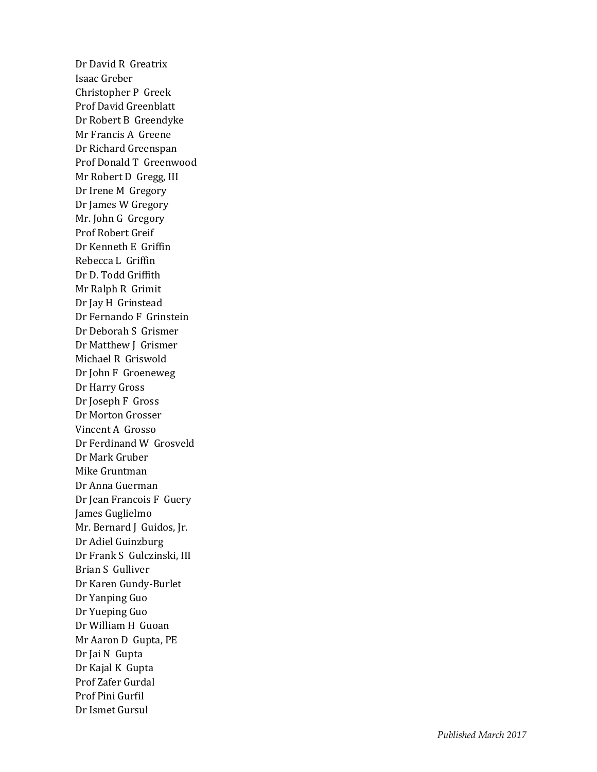Dr David R Greatrix Isaac Greber Christopher P Greek Prof David Greenblatt Dr Robert B Greendyke Mr Francis A Greene Dr Richard Greenspan Prof Donald T Greenwood Mr Robert D Gregg, III Dr Irene M Gregory Dr James W Gregory Mr. John G Gregory Prof Robert Greif Dr Kenneth E Griffin Rebecca L Griffin Dr D. Todd Griffith Mr Ralph R Grimit Dr Jay H Grinstead Dr Fernando F Grinstein Dr Deborah S Grismer Dr Matthew J Grismer Michael R Griswold Dr John F Groeneweg Dr Harry Gross Dr Joseph F Gross Dr Morton Grosser Vincent A Grosso Dr Ferdinand W Grosveld Dr Mark Gruber Mike Gruntman Dr Anna Guerman Dr Jean Francois F Guery James Guglielmo Mr. Bernard J Guidos, Jr. Dr Adiel Guinzburg Dr Frank S Gulczinski, III Brian S Gulliver Dr Karen Gundy -Burlet Dr Yanping Guo Dr Yueping Guo Dr William H Guoan Mr Aaron D Gupta, PE Dr Jai N Gupta Dr Kajal K Gupta Prof Zafer Gurdal Prof Pini Gurfil Dr Ismet Gursul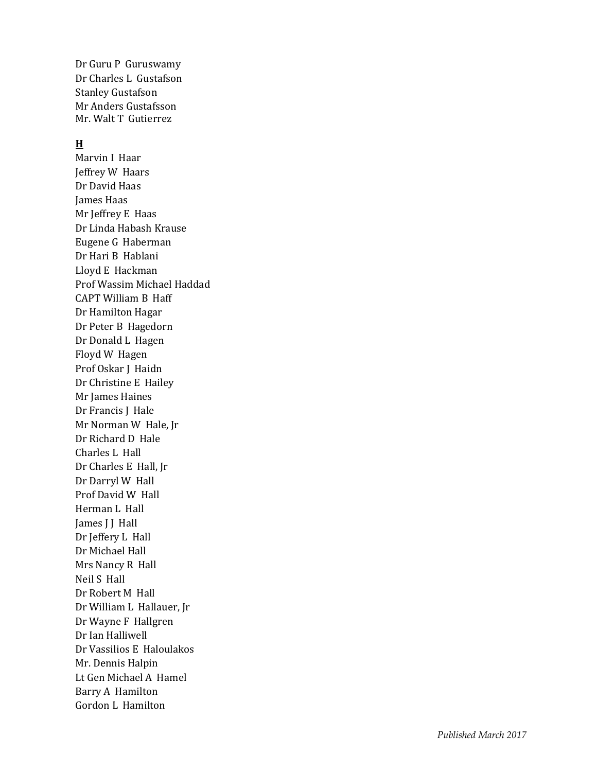Dr Guru P Guruswamy Dr Charles L Gustafson Stanley Gustafson Mr Anders Gustafsson Mr. Walt T Gutierrez

#### **H**

Marvin I Haar Jeffrey W Haars Dr David Haas James Haas Mr Jeffrey E Haas Dr Linda Habash Krause Eugene G Haberman Dr Hari B Hablani Lloyd E Hackman Prof Wassim Michael Haddad CAPT William B Haff Dr Hamilton Hagar Dr Peter B Hagedorn Dr Donald L Hagen Floyd W Hagen Prof Oskar J Haidn Dr Christine E Hailey Mr James Haines Dr Francis J Hale Mr Norman W Hale, Jr Dr Richard D Hale Charles L Hall Dr Charles E Hall, Jr Dr Darryl W Hall Prof David W Hall Herman L Hall James J J Hall Dr Jeffery L Hall Dr Michael Hall Mrs Nancy R Hall Neil S Hall Dr Robert M Hall Dr William L Hallauer, Jr Dr Wayne F Hallgren Dr Ian Halliwell Dr Vassilios E Haloulakos Mr. Dennis Halpin Lt Gen Michael A Hamel Barry A Hamilton Gordon L Hamilton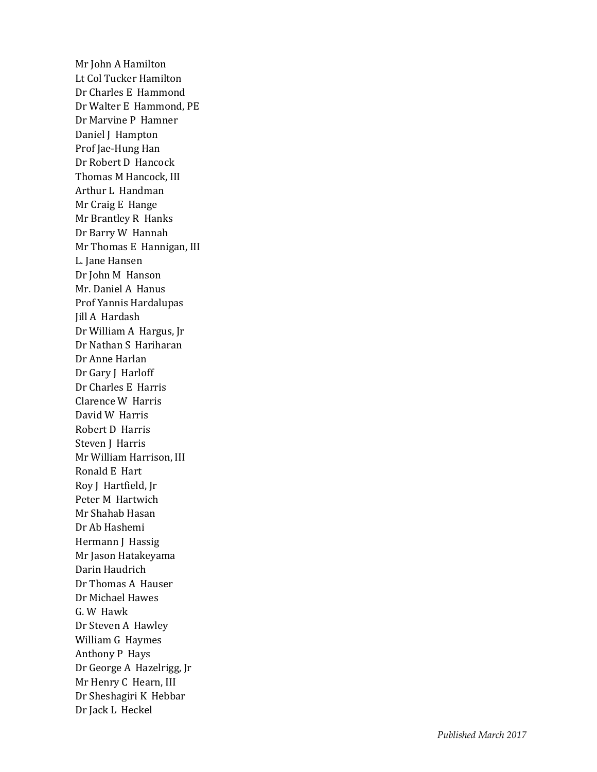Mr John A Hamilton Lt Col Tucker Hamilton Dr Charles E Hammond Dr Walter E Hammond, PE Dr Marvine P Hamner Daniel J Hampton Prof Jae -Hung Han Dr Robert D Hancock Thomas M Hancock, III Arthur L Handman Mr Craig E Hange Mr Brantley R Hanks Dr Barry W Hannah Mr Thomas E Hannigan, III L. Jane Hansen Dr John M Hanson Mr. Daniel A Hanus Prof Yannis Hardalupas Jill A Hardash Dr William A Hargus, Jr Dr Nathan S Hariharan Dr Anne Harlan Dr Gary J Harloff Dr Charles E Harris Clarence W Harris David W Harris Robert D Harris Steven J Harris Mr William Harrison, III Ronald E Hart Roy J Hartfield, Jr Peter M Hartwich Mr Shahab Hasan Dr Ab Hashemi Hermann J Hassig Mr Jason Hatakeyama Darin Haudrich Dr Thomas A Hauser Dr Michael Hawes G. W Hawk Dr Steven A Hawley William G Haymes Anthony P Hays Dr George A Hazelrigg, Jr Mr Henry C Hearn, III Dr Sheshagiri K Hebbar Dr Jack L Heckel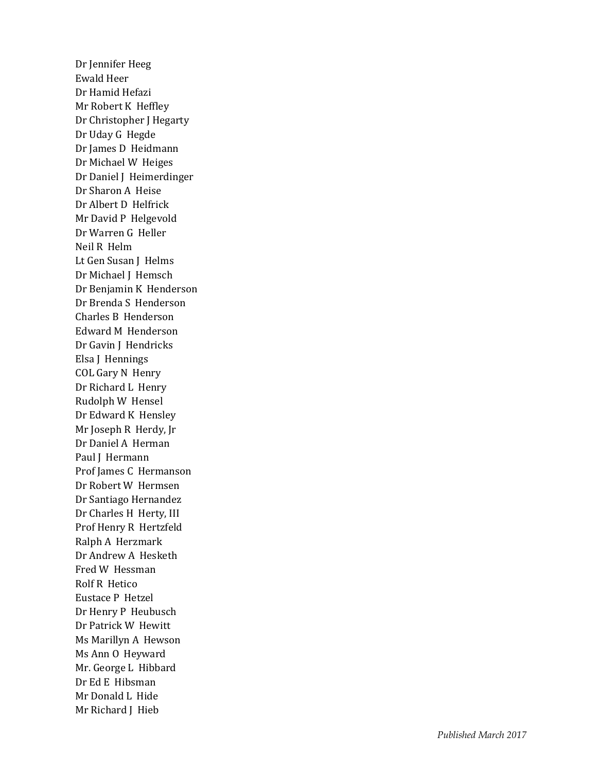Dr Jennifer Heeg Ewald Heer Dr Hamid Hefazi Mr Robert K Heffley Dr Christopher J Hegarty Dr Uday G Hegde Dr James D Heidmann Dr Michael W Heiges Dr Daniel J Heimerdinger Dr Sharon A Heise Dr Albert D Helfrick Mr David P Helgevold Dr Warren G Heller Neil R Helm Lt Gen Susan J Helms Dr Michael J Hemsch Dr Benjamin K Henderson Dr Brenda S Henderson Charles B Henderson Edward M Henderson Dr Gavin J Hendricks Elsa J Hennings COL Gary N Henry Dr Richard L Henry Rudolph W Hensel Dr Edward K Hensley Mr Joseph R Herdy, Jr Dr Daniel A Herman Paul J Hermann Prof James C Hermanson Dr Robert W Hermsen Dr Santiago Hernandez Dr Charles H Herty, III Prof Henry R Hertzfeld Ralph A Herzmark Dr Andrew A Hesketh Fred W Hessman Rolf R Hetico Eustace P Hetzel Dr Henry P Heubusch Dr Patrick W Hewitt Ms Marillyn A Hewson Ms Ann O Heyward Mr. George L Hibbard Dr Ed E Hibsman Mr Donald L Hide Mr Richard J Hieb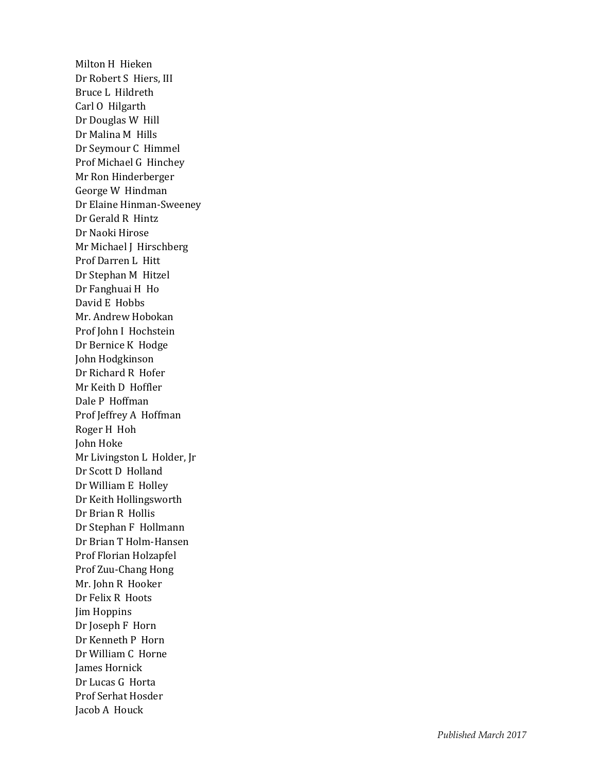Milton H Hieken Dr Robert S Hiers, III Bruce L Hildreth Carl O Hilgarth Dr Douglas W Hill Dr Malina M Hills Dr Seymour C Himmel Prof Michael G Hinchey Mr Ron Hinderberger George W Hindman Dr Elaine Hinman -Sweeney Dr Gerald R Hintz Dr Naoki Hirose Mr Michael J Hirschberg Prof Darren L Hitt Dr Stephan M Hitzel Dr Fanghuai H Ho David E Hobbs Mr. Andrew Hobokan Prof John I Hochstein Dr Bernice K Hodge John Hodgkinson Dr Richard R Hofer Mr Keith D Hoffler Dale P Hoffman Prof Jeffrey A Hoffman Roger H Hoh John Hoke Mr Livingston L Holder, Jr Dr Scott D Holland Dr William E Holley Dr Keith Hollingsworth Dr Brian R Hollis Dr Stephan F Hollmann Dr Brian T Holm -Hansen Prof Florian Holzapfel Prof Zuu -Chang Hong Mr. John R Hooker Dr Felix R Hoots Jim Hoppins Dr Joseph F Horn Dr Kenneth P Horn Dr William C Horne James Hornick Dr Lucas G Horta Prof Serhat Hosder Jacob A Houck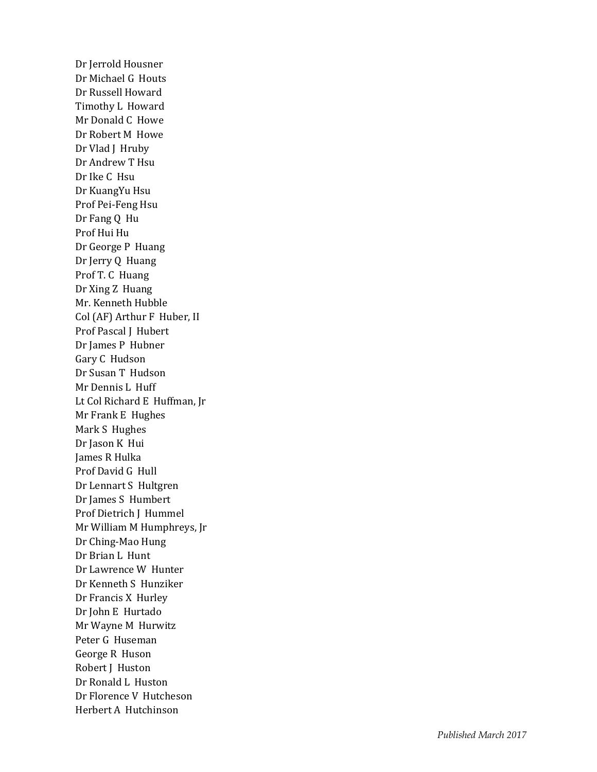Dr Jerrold Housner Dr Michael G Houts Dr Russell Howard Timothy L Howard Mr Donald C Howe Dr Robert M How e Dr Vlad J Hruby Dr Andrew T Hsu Dr Ike C Hsu Dr KuangYu Hsu Prof Pei-Feng Hsu Dr Fang Q Hu Prof Hui Hu Dr George P Huang Dr Jerry Q Huang Prof T. C Huang Dr Xing Z Huang Mr. Kenneth Hubble Col (AF) Arthur F Huber, II Prof Pascal J Hubert Dr James P Hubner Gary C Hudson Dr Susan T Hudson Mr Dennis L Huff Lt Col Richard E Huffman, Jr Mr Frank E Hughes Mark S Hughes Dr Jason K Hui James R Hulka Prof David G Hull Dr Lennart S Hultgren Dr James S Humbert Prof Dietrich J Hummel Mr William M Humphreys, Jr Dr Ching -Mao Hung Dr Brian L Hunt Dr Lawrence W Hunter Dr Kenneth S Hunziker Dr Francis X Hurley Dr John E Hurtado Mr Wayne M Hurwitz Peter G Huseman George R Huson Robert J Huston Dr Ronald L Huston Dr Florence V Hutcheson Herbert A Hutchinson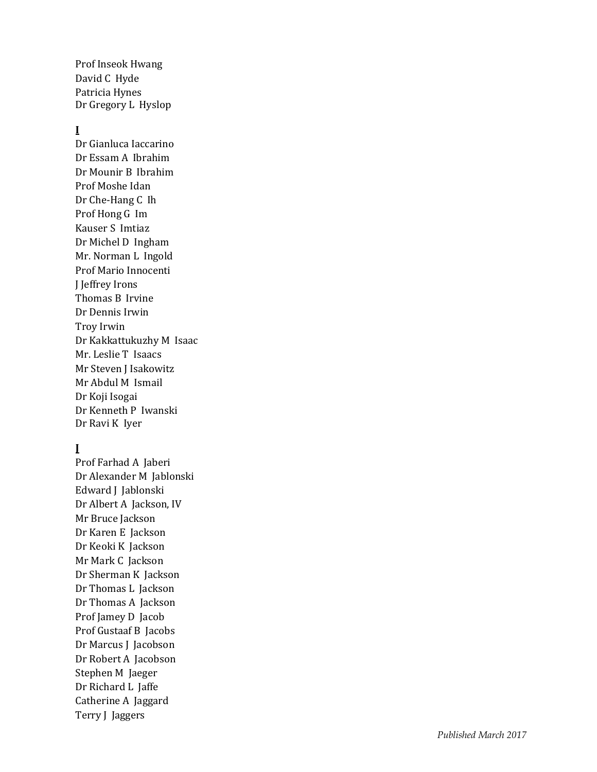Prof Inseok Hwang David C Hyde Patricia Hynes Dr Gregory L Hyslop

## **I**

Dr Gianluca Iaccarino Dr Essam A Ibrahim Dr Mounir B Ibrahim Prof Moshe Idan Dr Che -Hang C Ih Prof Hong G Im Kauser S Imtiaz Dr Michel D Ingham Mr. Norman L Ingold Prof Mario Innocenti J Jeffrey Irons Thomas B Irvine Dr Dennis Irwin Troy Irwin Dr Kakkattukuzhy M Isaac Mr. Leslie T Isaacs Mr Steven J Isakowitz Mr Abdul M Ismail Dr Koji Isogai Dr Kenneth P Iwanski Dr Ravi K Iyer

## **J**

Prof Farhad A Jaberi Dr Alexander M Jablonski Edward J Jablonski Dr Albert A Jackson, IV Mr Bruce Jackson Dr Karen E Jackson Dr Keoki K Jackson Mr Mark C Jackson Dr Sherman K Jackson Dr Thomas L Jackson Dr Thomas A Jackson Prof Jamey D Jacob Prof Gustaaf B Jacobs Dr Marcus J Jacobson Dr Robert A Jacobson Stephen M Jaeger Dr Richard L Jaffe Catherine A Jaggard Terry J Jaggers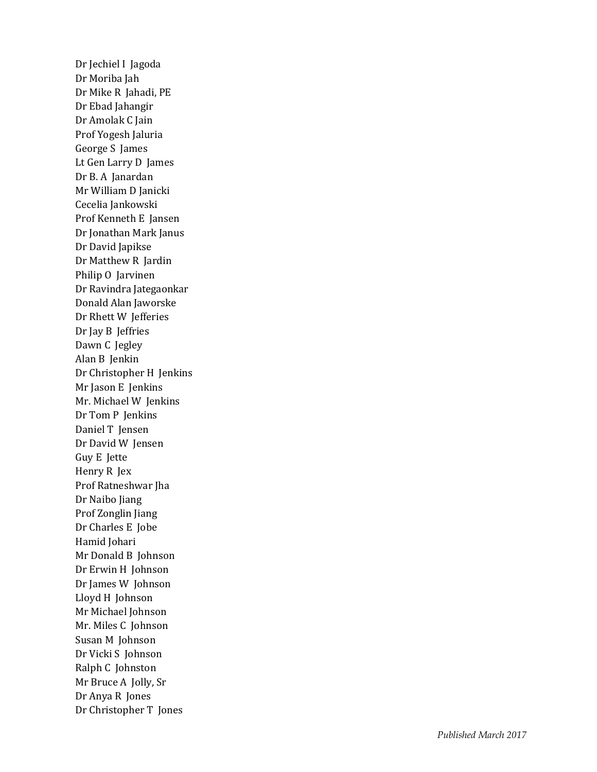Dr Jechiel I Jagoda Dr Moriba Jah Dr Mike R Jahadi, PE Dr Ebad Jahangir Dr Amolak C Jain Prof Yogesh Jaluria George S James Lt Gen Larry D James Dr B. A Janardan Mr William D Janicki Cecelia Jankowski Prof Kenneth E Jansen Dr Jonathan Mark Janus Dr David Japikse Dr Matthew R Jardin Philip O Jarvinen Dr Ravindra Jategaonkar Donald Alan Jaworske Dr Rhett W Jefferies Dr Jay B Jeffries Dawn C Jegley Alan B Jenkin Dr Christopher H Jenkins Mr Jason E Jenkins Mr. Michael W Jenkins Dr Tom P Jenkins Daniel T Jensen Dr David W Jensen Guy E Jette Henry R Jex Prof Ratneshwar Jha Dr Naibo Jiang Prof Zonglin Jiang Dr Charles E Jobe Hamid Johari Mr Donald B Johnson Dr Erwin H Johnson Dr James W Johnson Lloyd H Johnson Mr Michael Johnson Mr. Miles C Johnson Susan M Johnson Dr Vicki S Johnson Ralph C Johnston Mr Bruce A Jolly, Sr Dr Anya R Jones Dr Christopher T Jones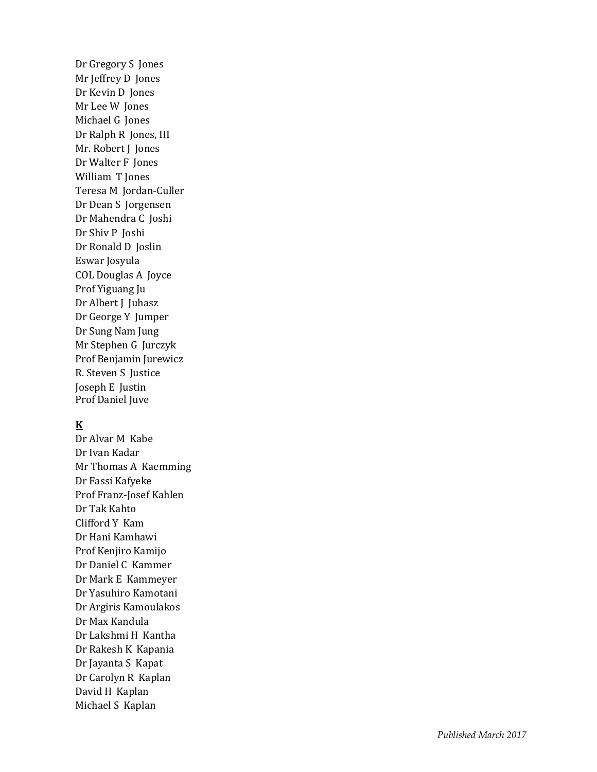Dr Gregory S Jones Mr Jeffrey D Jones Dr Kevin D Jones Mr Lee W Jones Michael G Jones Dr Ralph R Jones, III Mr. Robert J Jones Dr Walter F Jones William T Jones Teresa M Jordan -Culler Dr Dean S Jorgensen Dr Mahendra C Joshi Dr Shiv P Joshi Dr Ronald D Joslin Eswar Josyula COL Douglas A Joyce Prof Yiguang Ju Dr Albert J Juhasz Dr George Y Jumper Dr Sung Nam Jung Mr Stephen G Jurczyk Prof Benjamin Jurewicz R. Steven S Justice Joseph E Justin Prof Daniel Juve

### **K**

Dr Alvar M Kabe Dr Ivan Kadar Mr Thomas A Kaemming Dr Fassi Kafyeke Prof Franz -Josef Kahlen Dr Tak Kahto Clifford Y Kam Dr Hani Kamhawi Prof Kenjiro Kamijo Dr Daniel C Kammer Dr Mark E Kammeyer Dr Yasuhiro Kamotani Dr Argiris Kamoulakos Dr Max Kandula Dr Lakshmi H Kantha Dr Rakesh K Kapania Dr Jayanta S Kapat Dr Carolyn R Kaplan David H Kaplan Michael S Kaplan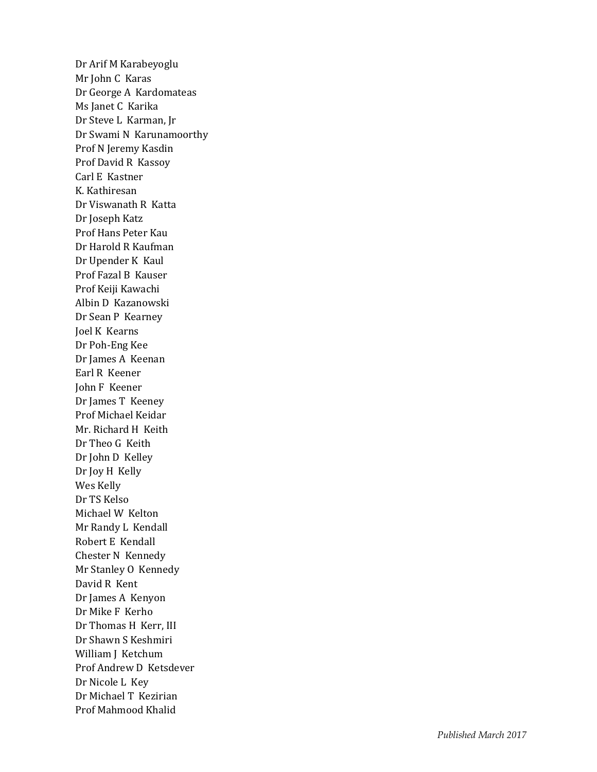Dr Arif M Karabeyoglu Mr John C Karas Dr George A Kardomateas Ms Janet C Karika Dr Steve L Karman, Jr Dr Swami N Karunamoorthy Prof N Jeremy Kasdin Prof David R Kassoy Carl E Kastner K. Kathiresan Dr Viswanath R Katta Dr Joseph Katz Prof Hans Peter Kau Dr Harold R Kaufman Dr Upender K Kaul Prof Fazal B Kauser Prof Keiji Kawachi Albin D Kazanowski Dr Sean P Kearney Joel K Kearns Dr Poh -Eng Kee Dr James A Keenan Earl R Keener John F Keener Dr James T Keeney Prof Michael Keidar Mr. Richard H Keith Dr Theo G Keith Dr John D Kelley Dr Joy H Kelly Wes Kelly Dr TS Kelso Michael W Kelton Mr Randy L Kendall Robert E Kendall Chester N Kennedy Mr Stanley O Kennedy David R Kent Dr James A Kenyon Dr Mike F Kerho Dr Thomas H Kerr, III Dr Shawn S Keshmiri William J Ketchum Prof Andrew D Ketsdever Dr Nicole L Key Dr Michael T Kezirian Prof Mahmood Khalid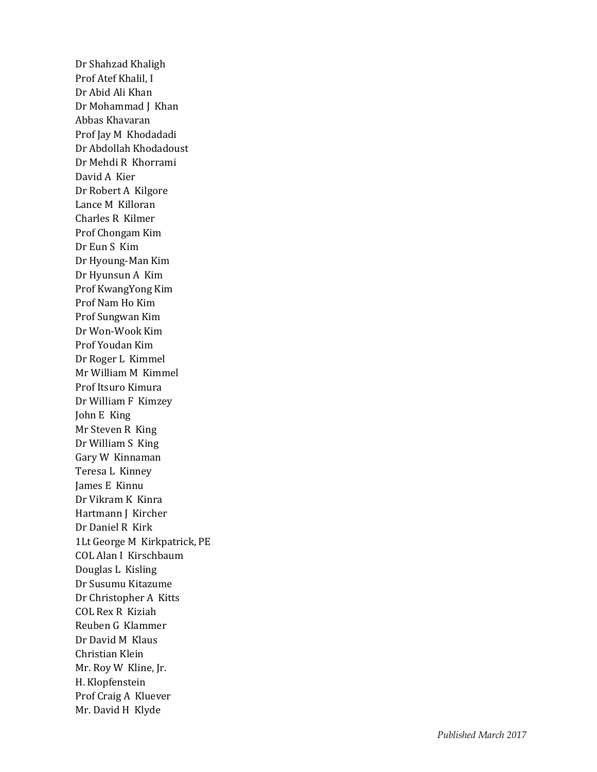Dr Shahzad Khaligh Prof Atef Khalil, I Dr Abid Ali Khan Dr Mohammad J Khan Abbas Khavaran Prof Jay M Khodadadi Dr Abdollah Khodadoust Dr Mehdi R Khorrami David A Kier Dr Robert A Kilgore Lance M Killoran Charles R Kilmer Prof Chongam Kim Dr Eun S Kim Dr Hyoung -Man Kim Dr Hyunsun A Kim Prof KwangYong Kim Prof Nam Ho Kim Prof Sungwan Kim Dr Won -Wook Kim Prof Youdan Kim Dr Roger L Kimmel Mr William M Kimmel Prof Itsuro Kimura Dr William F Kimzey John E King Mr Steven R King Dr William S King Gary W Kinnaman Teresa L Kinney James E Kinnu Dr Vikram K Kinra Hartmann J Kircher Dr Daniel R Kirk 1Lt George M Kirkpatrick, PE COL Alan I Kirschbaum Douglas L Kisling Dr Susumu Kitazume Dr Christopher A Kitts COL Rex R Kiziah Reuben G Klammer Dr David M Klaus Christian Klein Mr. Roy W Kline, Jr. H. Klopfenstein Prof Craig A Kluever Mr. David H Klyde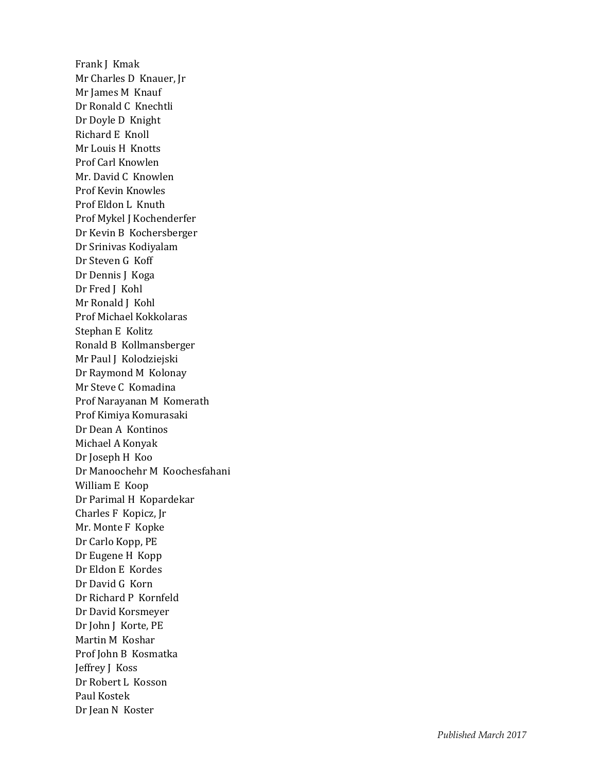Frank J Kmak Mr Charles D Knauer, Jr Mr James M Knauf Dr Ronald C Knechtli Dr Doyle D Knight Richard E Knoll Mr Louis H Knotts Prof Carl Knowlen Mr. David C Knowlen Prof Kevin Knowles Prof Eldon L Knuth Prof Mykel J Kochenderfer Dr Kevin B Kochersberger Dr Srinivas Kodiyalam Dr Steven G Koff Dr Dennis J Koga Dr Fred J Kohl Mr Ronald J Kohl Prof Michael Kokkolaras Stephan E Kolitz Ronald B Kollmansberger Mr Paul J Kolodziejski Dr Raymond M Kolonay Mr Steve C Komadina Prof Narayanan M Komerath Prof Kimiya Komurasaki Dr Dean A Kontinos Michael A Konyak Dr Joseph H Koo Dr Manoochehr M Koochesfahani William E Koop Dr Parimal H Kopardekar Charles F Kopicz, Jr Mr. Monte F Kopke Dr Carlo Kopp, PE Dr Eugene H Kopp Dr Eldon E Kordes Dr David G Korn Dr Richard P Kornfeld Dr David Korsmeyer Dr John J Korte, PE Martin M Koshar Prof John B Kosmatka Jeffrey J Koss Dr Robert L Kosson Paul Kostek Dr Jean N Koster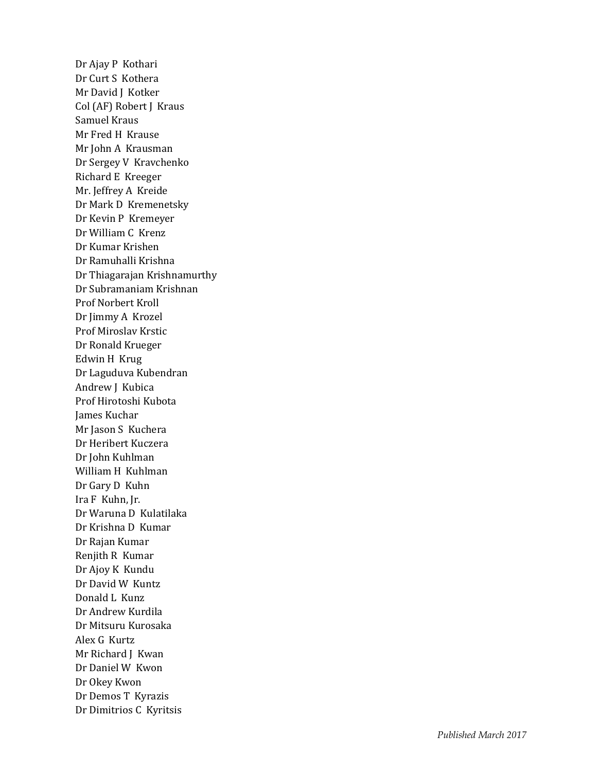Dr Ajay P Kothari Dr Curt S Kothera Mr David J Kotker Col (AF) Robert J Kraus Samuel Kraus Mr Fred H Krause Mr John A Krausman Dr Sergey V Kravchenko Richard E Kreeger Mr. Jeffrey A Kreide Dr Mark D Kremenetsky Dr Kevin P Kremeyer Dr William C Krenz Dr Kumar Krishen Dr Ramuhalli Krishna Dr Thiagarajan Krishnamurthy Dr Subramaniam Krishnan Prof Norbert Kroll Dr Jimmy A Krozel Prof Miroslav Krstic Dr Ronald Krueger Edwin H Krug Dr Laguduva Kubendran Andrew J Kubica Prof Hirotoshi Kubota James Kuchar Mr Jason S Kuchera Dr Heribert Kuczera Dr John Kuhlman William H Kuhlman Dr Gary D Kuhn Ira F Kuhn, Jr. Dr Waruna D Kulatilaka Dr Krishna D Kumar Dr Rajan Kumar Renjith R Kumar Dr Ajoy K Kundu Dr David W Kuntz Donald L Kunz Dr Andrew Kurdila Dr Mitsuru Kurosaka Alex G Kurtz Mr Richard J Kwan Dr Daniel W Kwon Dr Okey Kwon Dr Demos T Kyrazis Dr Dimitrios C Kyritsis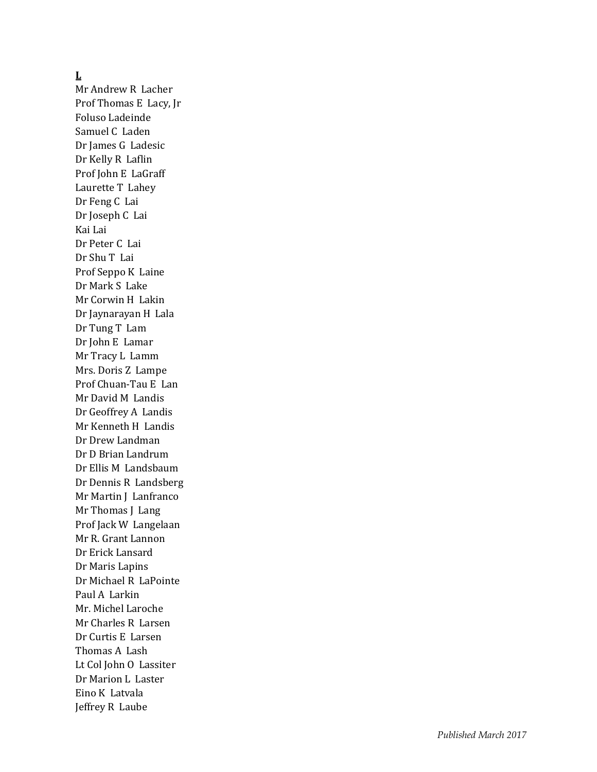#### **L**

Mr Andrew R Lacher Prof Thomas E Lacy, Jr Foluso Ladeinde Samuel C Laden Dr James G Ladesic Dr Kelly R Laflin Prof John E LaGraff Laurette T Lahey Dr Feng C Lai Dr Joseph C Lai Kai Lai Dr Peter C Lai Dr Shu T Lai Prof Seppo K Laine Dr Mark S Lake Mr Corwin H Lakin Dr Jaynarayan H Lala Dr Tung T Lam Dr John E Lamar Mr Tracy L Lamm Mrs. Doris Z Lampe Prof Chuan -Tau E Lan Mr David M Landis Dr Geoffrey A Landis Mr Kenneth H Landis Dr Drew Landman Dr D Brian Landrum Dr Ellis M Landsbaum Dr Dennis R Landsberg Mr Martin J Lanfranco Mr Thomas J Lang Prof Jack W Langelaan Mr R. Grant Lannon Dr Erick Lansard Dr Maris Lapins Dr Michael R LaPointe Paul A Larkin Mr. Michel Laroche Mr Charles R Larsen Dr Curtis E Larsen Thomas A Lash Lt Col John O Lassiter Dr Marion L Laster Eino K Latvala Jeffrey R Laube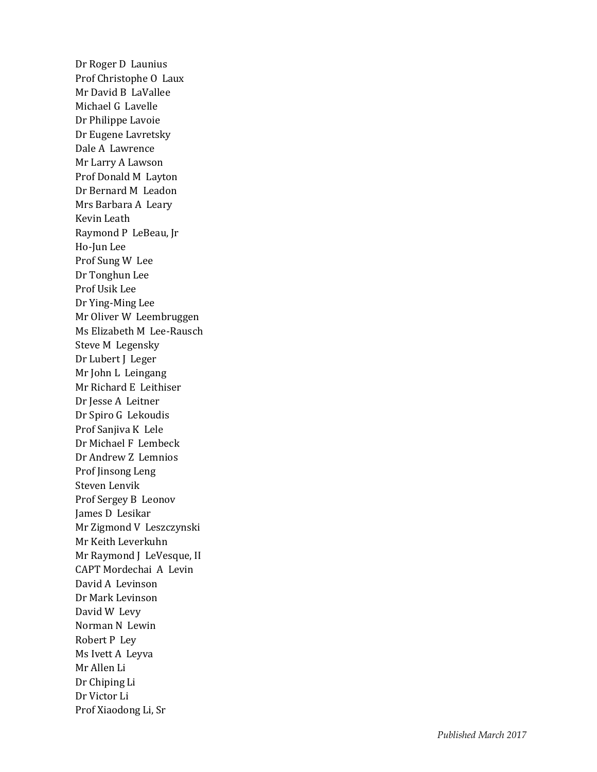Dr Roger D Launius Prof Christophe O Laux Mr David B LaVallee Michael G Lavelle Dr Philippe Lavoie Dr Eugene Lavretsky Dale A Lawrence Mr Larry A Lawson Prof Donald M Layton Dr Bernard M Leadon Mrs Barbara A Leary Kevin Leath Raymond P LeBeau, Jr Ho -Jun Lee Prof Sung W Lee Dr Tonghun Lee Prof Usik Lee Dr Ying -Ming Lee Mr Oliver W Leembruggen Ms Elizabeth M Lee -Rausch Steve M Legensky Dr Lubert J Leger Mr John L Leingang Mr Richard E Leithiser Dr Jesse A Leitner Dr Spiro G Lekoudis Prof Sanjiva K Lele Dr Michael F Lembeck Dr Andrew Z Lemnios Prof Jinsong Leng Steven Lenvik Prof Sergey B Leonov James D Lesikar Mr Zigmond V Leszczynski Mr Keith Leverkuhn Mr Raymond J LeVesque, II CAPT Mordechai A Levin David A Levinson Dr Mark Levinson David W Levy Norman N Lewin Robert P Ley Ms Ivett A Leyva Mr Allen Li Dr Chiping Li Dr Victor Li Prof Xiaodong Li, Sr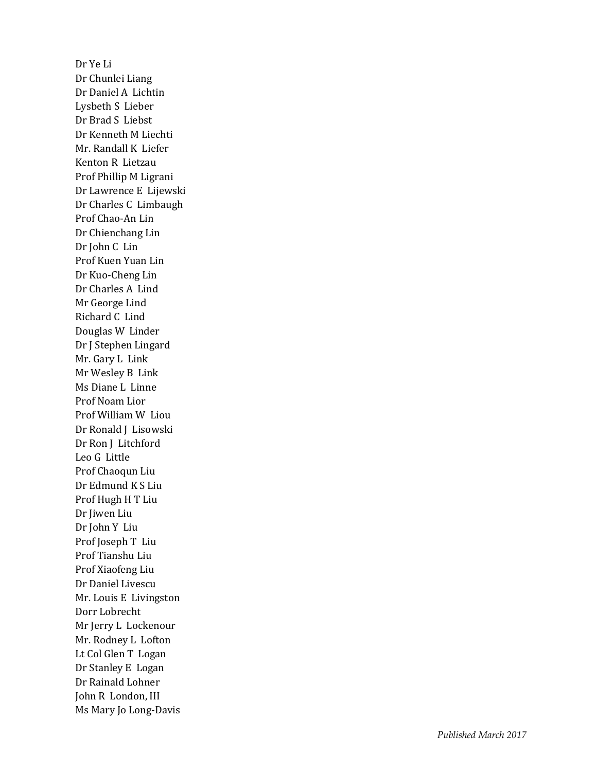Dr Ye Li Dr Chunlei Liang Dr Daniel A Lichtin Lysbeth S Lieber Dr Brad S Liebst Dr Kenneth M Liechti Mr. Randall K Liefer Kenton R Lietzau Prof Phillip M Ligrani Dr Lawrence E Lijewski Dr Charles C Limbaugh Prof Chao -An Lin Dr Chienchang Lin Dr John C Lin Prof Kuen Yuan Lin Dr Kuo -Cheng Lin Dr Charles A Lind Mr George Lind Richard C Lind Douglas W Linder Dr J Stephen Lingard Mr. Gary L Link Mr Wesley B Link Ms Diane L Linne Prof Noam Lior Prof William W Liou Dr Ronald J Lisowski Dr Ron J Litchford Leo G Little Prof Chaoqun Liu Dr Edmund K S Liu Prof Hugh H T Liu Dr Jiwen Liu Dr John Y Liu Prof Joseph T Liu Prof Tianshu Liu Prof Xiaofeng Liu Dr Daniel Livescu Mr. Louis E Livingston Dorr Lobrecht Mr Jerry L Lockenour Mr. Rodney L Lofton Lt Col Glen T Logan Dr Stanley E Logan Dr Rainald Lohner John R London, III Ms Mary Jo Long -Davis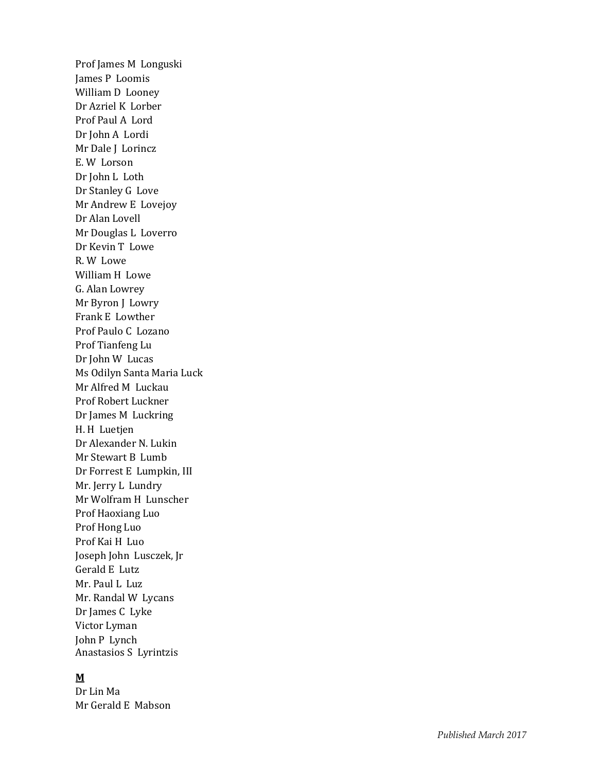Prof James M Longuski James P Loomis William D Looney Dr Azriel K Lorber Prof Paul A Lord Dr John A Lordi Mr Dale J Lorincz E. W Lorson Dr John L Loth Dr Stanley G Love Mr Andrew E Lovejoy Dr Alan Lovell Mr Douglas L Loverro Dr Kevin T Lowe R. W Lowe William H Lowe G. Alan Lowrey Mr Byron J Lowry Frank E Lowther Prof Paulo C Lozano Prof Tianfeng Lu Dr John W Lucas Ms Odilyn Santa Maria Luck Mr Alfred M Luckau Prof Robert Luckner Dr James M Luckring H. H Luetjen Dr Alexander N. Lukin Mr Stewart B Lumb Dr Forrest E Lumpkin, III Mr. Jerry L Lundry Mr Wolfram H Lunscher Prof Haoxiang Luo Prof Hong Luo Prof Kai H Luo Joseph John Lusczek, Jr Gerald E Lutz Mr. Paul L Luz Mr. Randal W Lycans Dr James C Lyke Victor Lyman John P Lynch Anastasios S Lyrintzis

### **M**

Dr Lin Ma Mr Gerald E Mabson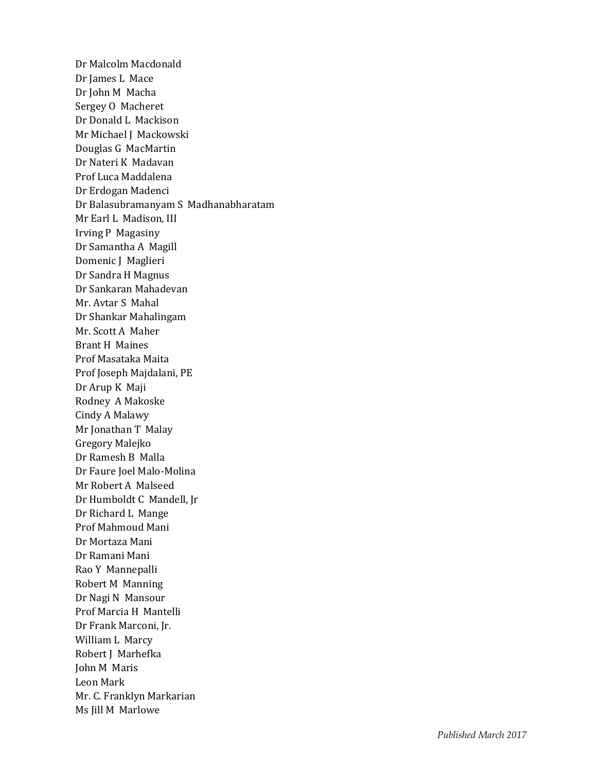Dr Malcolm Macdonald Dr James L Mace Dr John M Macha Sergey O Macheret Dr Donald L Mackison Mr Michael J Mackowski Douglas G MacMartin Dr Nateri K Madavan Prof Luca Maddalena Dr Erdogan Madenci Dr Balasubramanyam S Madhanabharatam Mr Earl L Madison, III Irving P Magasiny Dr Samantha A Magill Domenic J Maglieri Dr Sandra H Magnus Dr Sankaran Mahadevan Mr. Avtar S Mahal Dr Shankar Mahalingam Mr. Scott A Maher Brant H Maines Prof Masataka Maita Prof Joseph Majdalani, PE Dr Arup K Maji Rodney A Makoske Cindy A Malawy Mr Jonathan T Malay Gregory Malejko Dr Ramesh B Malla Dr Faure Joel Malo-Molina Mr Robert A Malseed Dr Humboldt C Mandell, Jr Dr Richard L Mange Prof Mahmoud Mani Dr Mortaza Mani Dr Ramani Mani Rao Y Mannepalli Robert M Manning Dr Nagi N Mansour Prof Marcia H Mantelli Dr Frank Marconi, Jr. William L Marcy Robert J Marhefka John M Maris Leon Mark Mr. C. Franklyn Markarian Ms Jill M Marlowe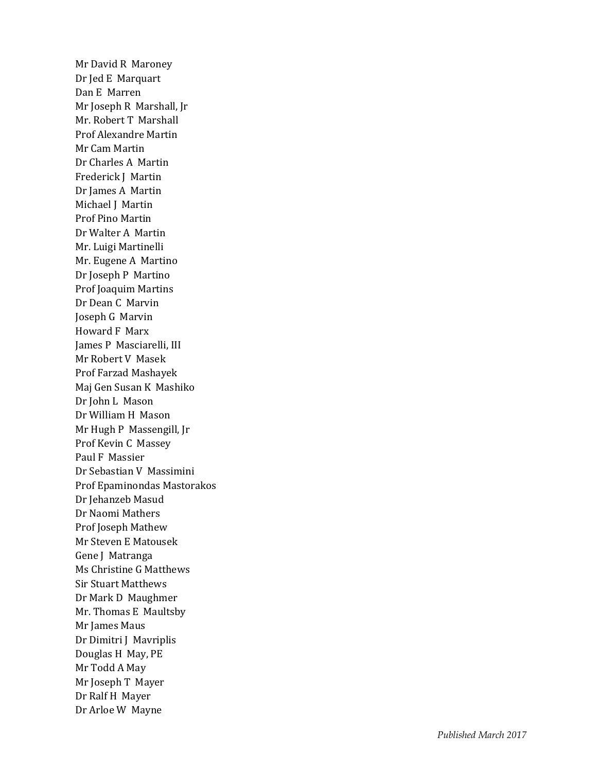Mr David R Maroney Dr Jed E Marquart Dan E Marre n Mr Joseph R Marshall, Jr Mr. Robert T Marshall Prof Alexandre Martin Mr Cam Martin Dr Charles A Martin Frederick J Martin Dr James A Martin Michael J Martin Prof Pino Martin Dr Walter A Martin Mr. Luigi Martinelli Mr. Eugene A Martino Dr Joseph P Martino Prof Joaquim Martins Dr Dean C Marvin Joseph G Marvin Howard F Marx James P Masciarelli, III Mr Robert V Masek Prof Farzad Mashayek Maj Gen Susan K Mashiko Dr John L Mason Dr William H Mason Mr Hugh P Massengill, Jr Prof Kevin C Massey Paul F Massier Dr Sebastian V Massimini Prof Epaminondas Mastorakos Dr Jehanzeb Masud Dr Naomi Mathers Prof Joseph Mathew Mr Steven E Matousek Gene J Matranga Ms Christine G Matthews Sir Stuart Matthews Dr Mark D Maughmer Mr. Thomas E Maultsby Mr James Maus Dr Dimitri J Mavriplis Douglas H May, PE Mr Todd A May Mr Joseph T Mayer Dr Ralf H Mayer Dr Arloe W Mayne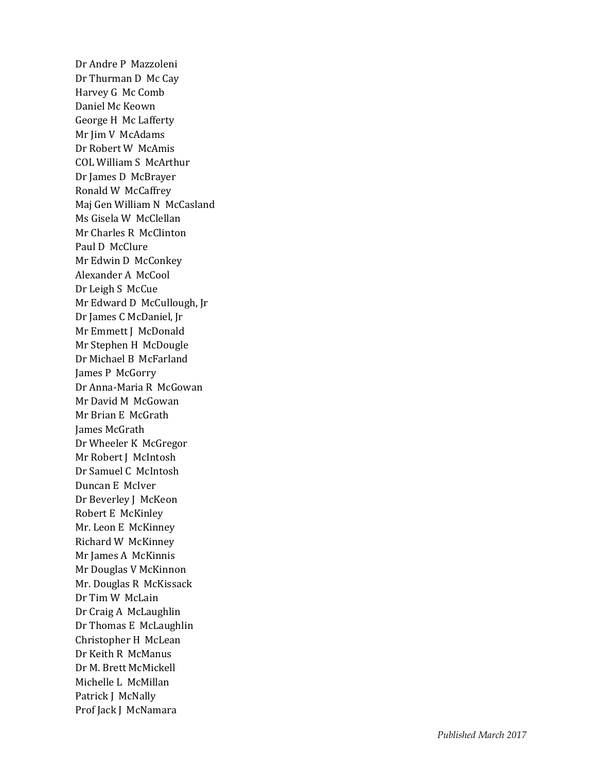Dr Andre P Mazzoleni Dr Thurman D Mc Cay Harvey G Mc Comb Daniel Mc Keown George H Mc Lafferty Mr Jim V McAdams Dr Robert W McAmis COL William S McArthur Dr James D McBrayer Ronald W McCaffrey Maj Gen William N McCasland Ms Gisela W McClellan Mr Charles R McClinton Paul D McClure Mr Edwin D McConkey Alexander A McCool Dr Leigh S McCue Mr Edward D McCullough, Jr Dr James C McDaniel, Jr Mr Emmett J McDonald Mr Stephen H McDougle Dr Michael B McFarland James P McGorry Dr Anna -Maria R McGowan Mr David M McGowan Mr Brian E McGrath James McGrath Dr Wheeler K McGregor Mr Robert J McIntosh Dr Samuel C McIntosh Duncan E McIver Dr Beverley J McKeon Robert E McKinley Mr. Leon E McKinney Richard W McKinney Mr James A McKinnis Mr Douglas V McKinnon Mr. Douglas R McKissack Dr Tim W McLain Dr Craig A McLaughlin Dr Thomas E McLaughlin Christopher H McLean Dr Keith R McManus Dr M. Brett McMickell Michelle L McMillan Patrick J McNally Prof Jack J McNamara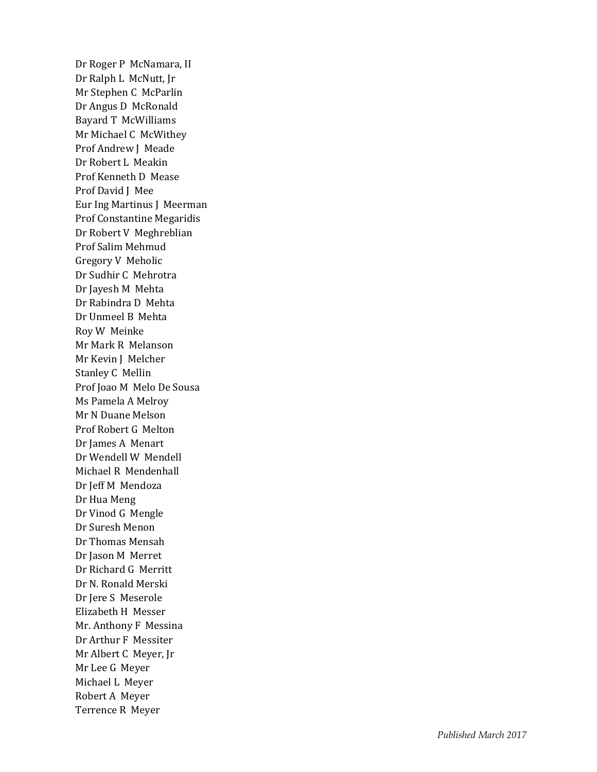Dr Roger P McNamara, II Dr Ralph L McNutt, Jr Mr Stephen C McParlin Dr Angus D McRonald Bayard T McWilliams Mr Michael C McWithey Prof Andrew J Meade Dr Robert L Meakin Prof Kenneth D Mease Prof David J Mee Eur Ing Martinus J Meerman Prof Constantine Megaridis Dr Robert V Meghreblian Prof Salim Mehmud Gregory V Meholic Dr Sudhir C Mehrotra Dr Jayesh M Mehta Dr Rabindra D Mehta Dr Unmeel B Mehta Roy W Meinke Mr Mark R Melanson Mr Kevin J Melcher Stanley C Mellin Prof Joao M Melo De Sousa Ms Pamela A Melroy Mr N Duane Melson Prof Robert G Melton Dr James A Menart Dr Wendell W Mendell Michael R Mendenhall Dr Jeff M Mendoza Dr Hua Meng Dr Vinod G Mengle Dr Suresh Menon Dr Thomas Mensah Dr Jason M Merret Dr Richard G Merritt Dr N. Ronald Merski Dr Jere S Meserole Elizabeth H Messer Mr. Anthony F Messina Dr Arthur F Messiter Mr Albert C Meyer, Jr Mr Lee G Meyer Michael L Meyer Robert A Meyer Terrence R Meyer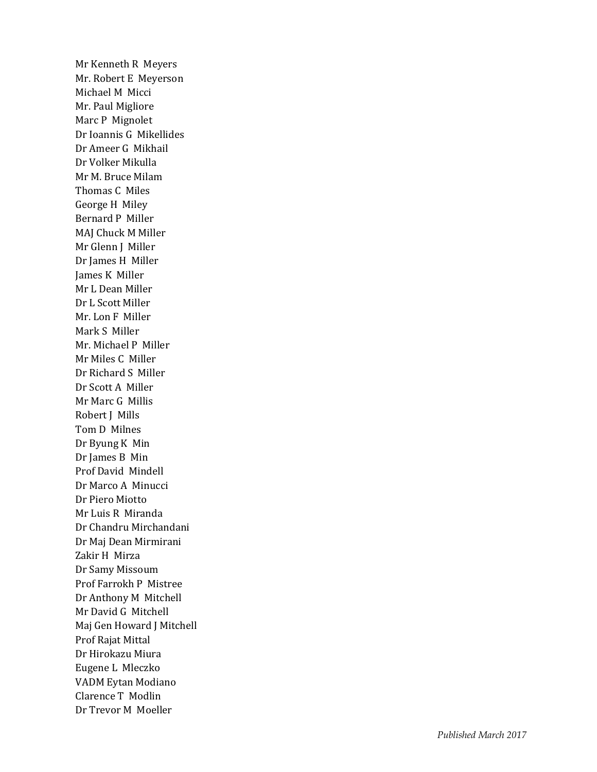Mr Kenneth R Meyers Mr. Robert E Meyerson Michael M Micci Mr. Paul Migliore Marc P Mignole t Dr Ioannis G Mikellides Dr Ameer G Mikhail Dr Volker Mikulla Mr M. Bruce Milam Thomas C Miles George H Miley Bernard P Miller MAJ Chuck M Miller Mr Glenn J Miller Dr James H Miller James K Miller Mr L Dean Miller Dr L Scott Miller Mr. Lon F Miller Mark S Miller Mr. Michael P Miller Mr Miles C Miller Dr Richard S Miller Dr Scott A Miller Mr Marc G Millis Robert J Mills Tom D Milnes Dr Byung K Min Dr James B Min Prof David Mindell Dr Marco A Minucci Dr Piero Miotto Mr Luis R Miranda Dr Chandru Mirchandani Dr Maj Dean Mirmirani Zakir H Mirza Dr Samy Missoum Prof Farrokh P Mistree Dr Anthony M Mitchell Mr David G Mitchell Maj Gen Howard J Mitchell Prof Rajat Mittal Dr Hirokazu Miura Eugene L Mleczko VADM Eytan Modiano Clarence T Modlin Dr Trevor M Moeller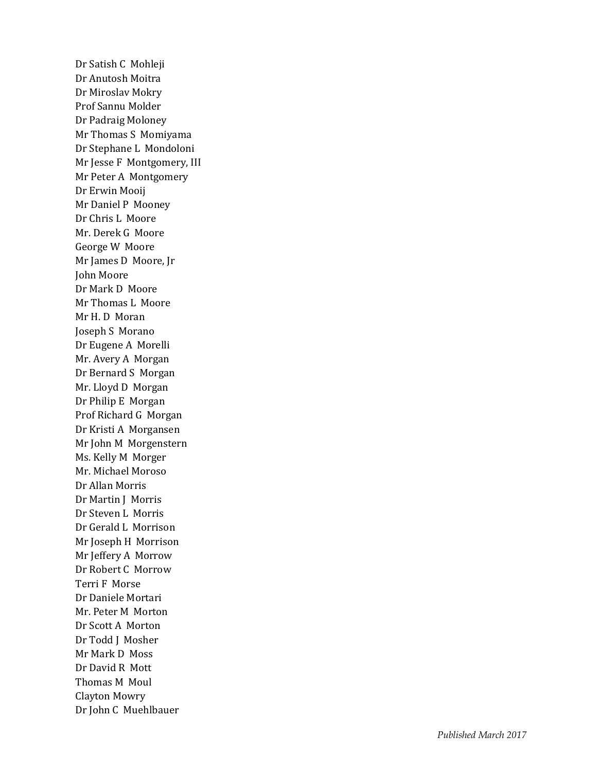Dr Satish C Mohleji Dr Anutosh Moitra Dr Miroslav Mokry Prof Sannu Molder Dr Padraig Moloney Mr Thomas S Momiyama Dr Stephane L Mondoloni Mr Jesse F Montgomery, III Mr Peter A Montgomery Dr Erwin Mooij Mr Daniel P Mooney Dr Chris L Moore Mr. Derek G Moore George W Moore Mr James D Moore, Jr John Moore Dr Mark D Moore Mr Thomas L Moore Mr H. D Moran Joseph S Morano Dr Eugene A Morelli Mr. Avery A Morgan Dr Bernard S Morgan Mr. Lloyd D Morgan Dr Philip E Morgan Prof Richard G Morgan Dr Kristi A Morgansen Mr John M Morgenstern Ms. Kelly M Morger Mr. Michael Moroso Dr Allan Morris Dr Martin J Morris Dr Steven L Morris Dr Gerald L Morriso n Mr Joseph H Morrison Mr Jeffery A Morrow Dr Robert C Morrow Terri F Morse Dr Daniele Mortari Mr. Peter M Morton Dr Scott A Morton Dr Todd J Mosher Mr Mark D Moss Dr David R Mott Thomas M Moul Clayton Mowry Dr John C Muehlbauer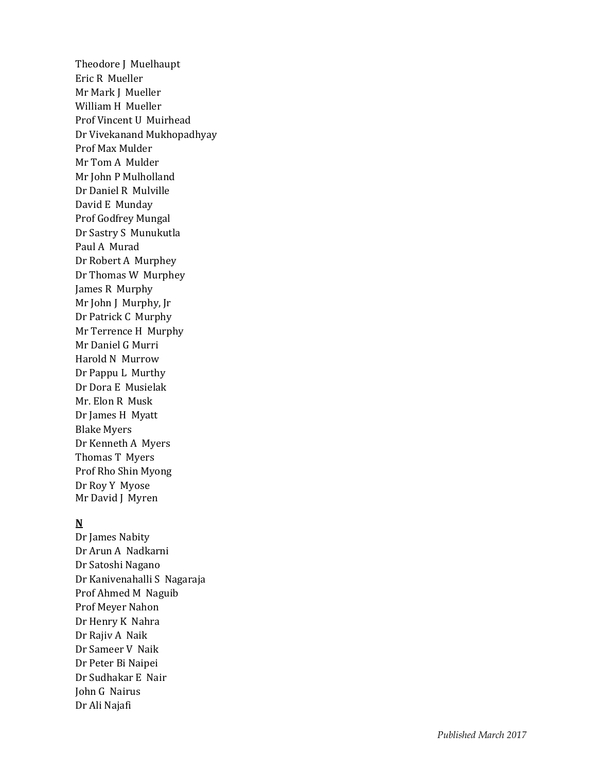Theodore J Muelhaupt Eric R Mueller Mr Mark J Mueller William H Mueller Prof Vincent U Muirhead Dr Vivekanand Mukhopadhyay Prof Max Mulder Mr Tom A Mulder Mr John P Mulholland Dr Daniel R Mulville David E Munday Prof Godfrey Mungal Dr Sastry S Munukutla Paul A Murad Dr Robert A Murphey Dr Thomas W Murphey James R Murphy Mr John J Murphy, Jr Dr Patrick C Murphy Mr Terrence H Murphy Mr Daniel G Murri Harold N Murrow Dr Pappu L Murthy Dr Dora E Musielak Mr. Elon R Musk Dr James H Myatt Blake Myers Dr Kenneth A Myers Thomas T Myers Prof Rho Shin Myong Dr Roy Y Myose Mr David J Myren

### **N**

Dr James Nabity Dr Arun A Nadkarni Dr Satoshi Nagano Dr Kanivenahalli S Nagaraja Prof Ahmed M Naguib Prof Meyer Naho n Dr Henry K Nahra Dr Rajiv A Naik Dr Sameer V Naik Dr Peter Bi Naipei Dr Sudhakar E Nair John G Nairus Dr Ali Najafi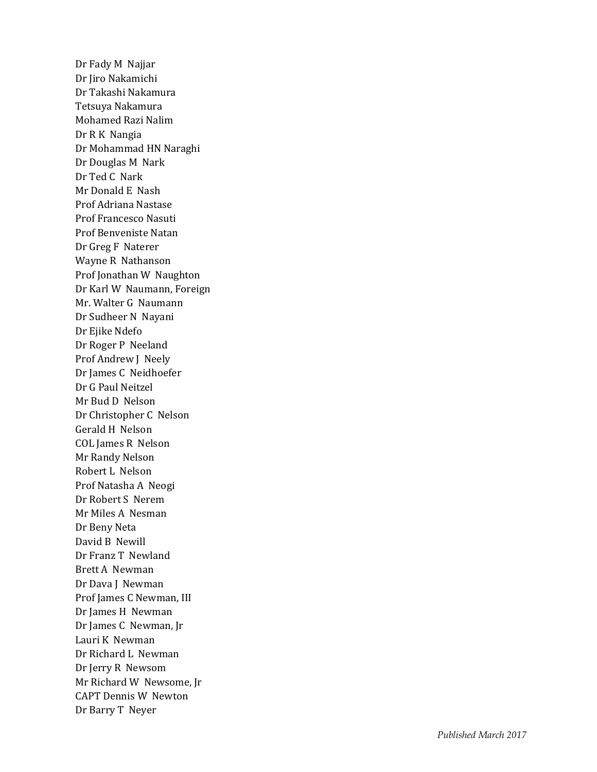Dr Fady M Najjar Dr Jiro Nakamichi Dr Takashi Nakamura Tetsuya Nakamura Mohamed Razi Nalim Dr R K Nangia Dr Mohammad HN Naraghi Dr Douglas M Nark Dr Ted C Nark Mr Donald E Nash Prof Adriana Nastase Prof Francesco Nasuti Prof Benveniste Natan Dr Greg F Naterer Wayne R Nathanson Prof Jonathan W Naughton Dr Karl W Naumann, Foreign Mr. Walter G Naumann Dr Sudheer N Nayani Dr Ejike Ndefo Dr Roger P Neeland Prof Andrew J Neely Dr James C Neidhoefer Dr G Paul Neitzel Mr Bud D Nelson Dr Christopher C Nelson Gerald H Nelson COL James R Nelson Mr Randy Nelson Robert L Nelson Prof Natasha A Neogi Dr Robert S Nerem Mr Miles A Nesman Dr Beny Neta David B Newill Dr Franz T Newland Brett A Newman Dr Dava J Newman Prof James C Newman, III Dr James H Newman Dr James C Newman, Jr Lauri K Newman Dr Richard L Newman Dr Jerry R Newsom Mr Richard W Newsome, Jr CAPT Dennis W Newton Dr Barry T Neyer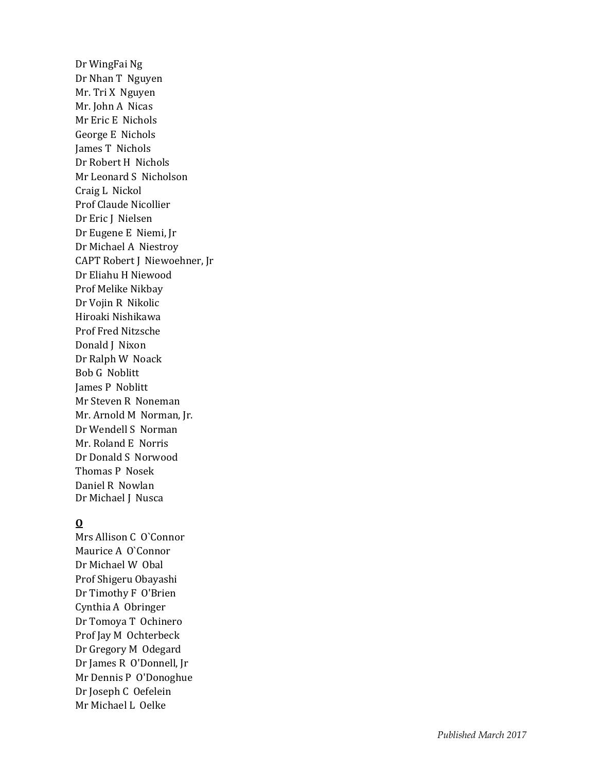Dr WingFai Ng Dr Nhan T Nguyen Mr. Tri X Nguyen Mr. John A Nicas Mr Eric E Nichols George E Nichols James T Nichols Dr Robert H Nichols Mr Leonard S Nicholson Craig L Nickol Prof Claude Nicollier Dr Eric J Nielsen Dr Eugene E Niemi, Jr Dr Michael A Niestroy CAPT Robert J Niewoehner, Jr Dr Eliahu H Niewood Prof Melike Nikbay Dr Vojin R Nikolic Hiroaki Nishikawa Prof Fred Nitzsche Donald J Nixon Dr Ralph W Noack Bob G Noblitt James P Noblitt Mr Steven R Noneman Mr. Arnold M Norman, Jr. Dr Wendell S Norman Mr. Roland E Norris Dr Donald S Norwood Thomas P Nosek Daniel R Nowlan Dr Michael J Nusca

### **O**

Mrs Allison C O`Connor Maurice A O`Connor Dr Michael W Obal Prof Shigeru Obayashi Dr Timothy F O'Brien Cynthia A Obringer Dr Tomoya T Ochinero Prof Jay M Ochterbeck Dr Gregory M Odegard Dr James R O'Donnell, Jr Mr Dennis P O'Donoghue Dr Joseph C Oefelein Mr Michael L Oelke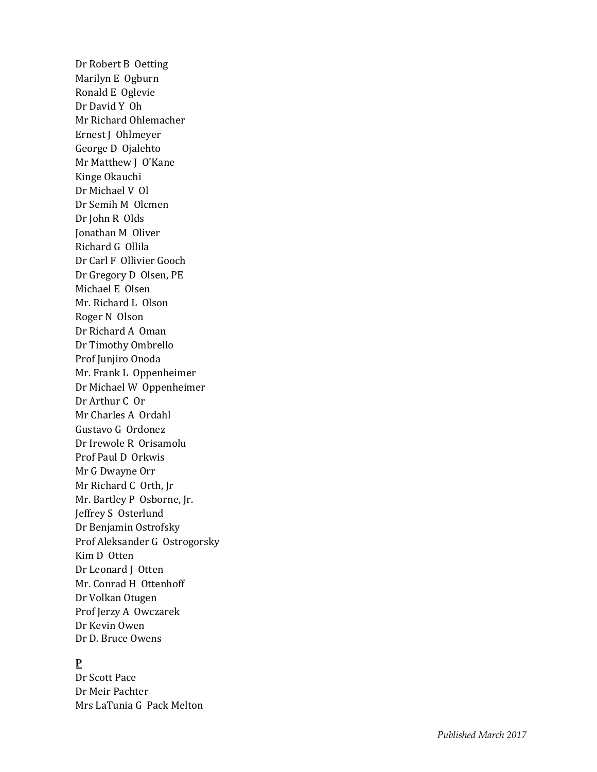Dr Robert B Oetting Marilyn E Ogburn Ronald E Oglevie Dr David Y Oh Mr Richard Ohlemacher Ernest J Ohlmeyer George D Ojalehto Mr Matthew J O'Kane Kinge Okauchi Dr Michael V Ol Dr Semih M Olcmen Dr John R Olds Jonathan M Oliver Richard G Ollila Dr Carl F Ollivier Gooch Dr Gregory D Olsen, PE Michael E Olsen Mr. Richard L Olson Roger N Olson Dr Richard A Oman Dr Timothy Ombrello Prof Junjiro Onoda Mr. Frank L Oppenheimer Dr Michael W Oppenheimer Dr Arthur C Or Mr Charles A Ordahl Gustavo G Ordonez Dr Irewole R Orisamolu Prof Paul D Orkwis Mr G Dwayne Orr Mr Richard C Orth, Jr Mr. Bartley P Osborne, Jr. Jeffrey S Osterlund Dr Benjamin Ostrofsky Prof Aleksander G Ostrogorsky Kim D Otten Dr Leonard J Otten Mr. Conrad H Ottenhoff Dr Volkan Otugen Prof Jerzy A Owczarek Dr Kevin Owen Dr D. Bruce Owens

# **P**

Dr Scott Pace Dr Meir Pachter Mrs LaTunia G Pack Melton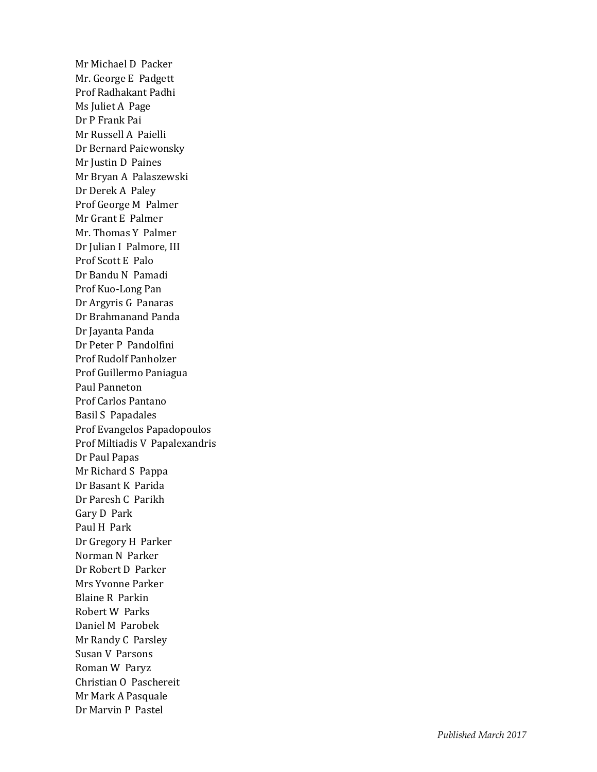Mr Michael D Packer Mr. George E Padgett Prof Radhakant Padhi Ms Juliet A Page Dr P Frank Pai Mr Russell A Paielli Dr Bernard Paiewonsky Mr Justin D Paines Mr Bryan A Palaszewski Dr Derek A Paley Prof George M Palmer Mr Grant E Palmer Mr. Thomas Y Palmer Dr Julian I Palmore, III Prof Scott E Palo Dr Bandu N Pamadi Prof Kuo -Long Pan Dr Argyris G Panaras Dr Brahmanand Panda Dr Jayanta Panda Dr Peter P Pandolfini Prof Rudolf Panholzer Prof Guillermo Paniagua Paul Panneton Prof Carlos Pantano Basil S Papadales Prof Evangelos Papadopoulos Prof Miltiadis V Papalexandris Dr Paul Papas Mr Richard S Pappa Dr Basant K Parida Dr Paresh C Parikh Gary D Park Paul H Park Dr Gregory H Parker Norman N Parker Dr Robert D Parker Mrs Yvonne Parker Blaine R Parkin Robert W Parks Daniel M Parobek Mr Randy C Parsley Susan V Parsons Roman W Paryz Christian O Paschereit Mr Mark A Pasquale Dr Marvin P Pastel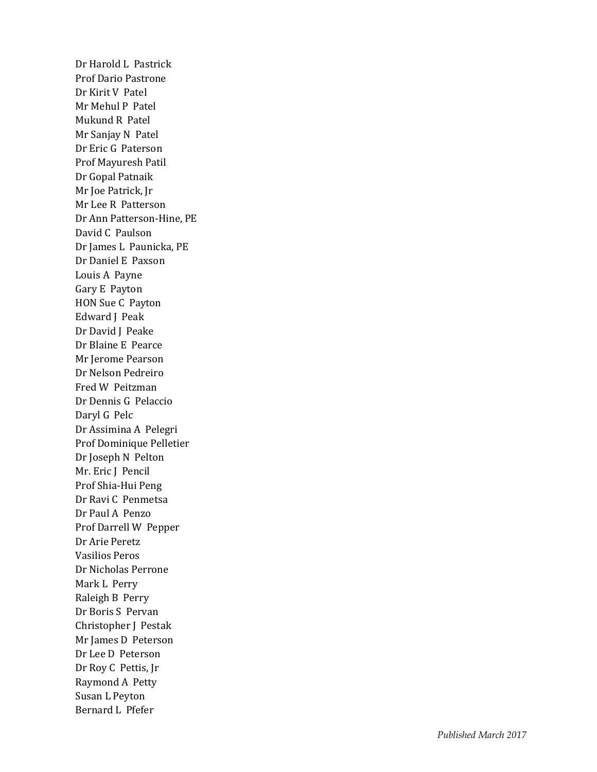Dr Harold L Pastrick Prof Dario Pastrone Dr Kirit V Patel Mr Mehul P Patel Mukund R Patel Mr Sanjay N Pate l Dr Eric G Paterson Prof Mayuresh Patil Dr Gopal Patnaik Mr Joe Patrick, Jr Mr Lee R Patterson Dr Ann Patterson -Hine, PE David C Paulson Dr James L Paunicka, PE Dr Daniel E Paxson Louis A Payne Gary E Payton HON Sue C Payton Edward J Peak Dr David J Peake Dr Blaine E Pearce Mr Jerome Pearson Dr Nelson Pedreiro Fred W Peitzman Dr Dennis G Pelaccio Daryl G Pelc Dr Assimina A Pelegri Prof Dominique Pelletier Dr Joseph N Pelton Mr. Eric J Pencil Prof Shia -Hui Peng Dr Ravi C Penmetsa Dr Paul A Penzo Prof Darrell W Pepper Dr Arie Peretz Vasilios Peros Dr Nicholas Perrone Mark L Perry Raleigh B Perry Dr Boris S Pervan Christopher J Pestak Mr James D Peterson Dr Lee D Peterson Dr Roy C Pettis, Jr Raymond A Petty Susan L Peyton Bernard L Pfefer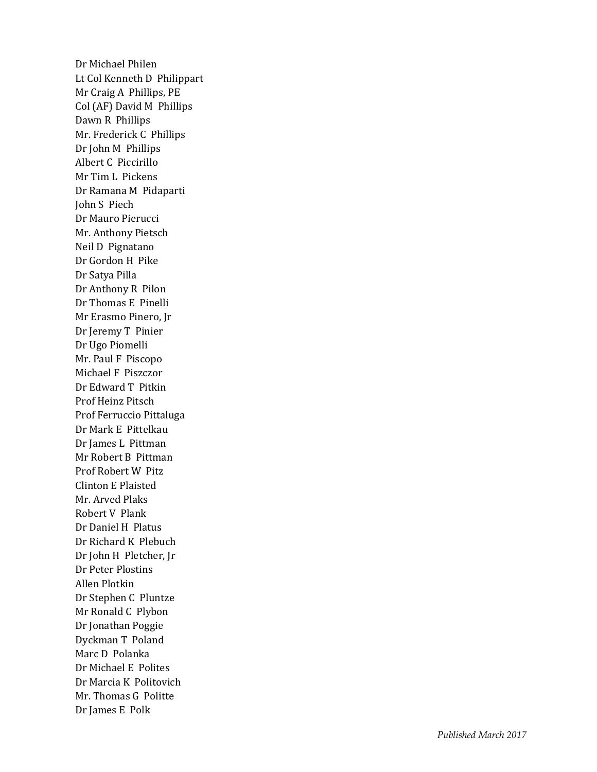Dr Michael Philen Lt Col Kenneth D Philippart Mr Craig A Phillips, PE Col (AF) David M Phillips Dawn R Phillips Mr. Frederick C Phillips Dr John M Phillips Albert C Piccirillo Mr Tim L Pickens Dr Ramana M Pidaparti John S Piech Dr Mauro Pierucci Mr. Anthony Pietsch Neil D Pignatano Dr Gordon H Pike Dr Satya Pilla Dr Anthony R Pilon Dr Thomas E Pinelli Mr Erasmo Pinero, Jr Dr Jeremy T Pinier Dr Ugo Piomelli Mr. Paul F Piscopo Michael F Piszczor Dr Edward T Pitkin Prof Heinz Pitsch Prof Ferruccio Pittaluga Dr Mark E Pittelkau Dr James L Pittman Mr Robert B Pittman Prof Robert W Pitz Clinton E Plaisted Mr. Arved Plaks Robert V Plank Dr Daniel H Platus Dr Richard K Plebuch Dr John H Pletcher, Jr Dr Peter Plostins Allen Plotkin Dr Stephen C Pluntze Mr Ronald C Plybon Dr Jonathan Poggie Dyckman T Poland Marc D Polanka Dr Michael E Polites Dr Marcia K Politovich Mr. Thomas G Politte Dr James E Polk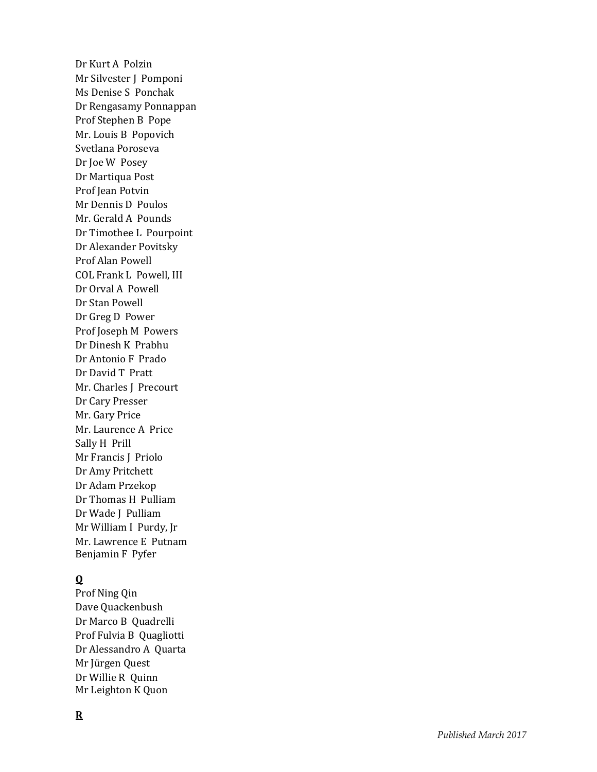Dr Kurt A Polzin Mr Silvester J Pomponi Ms Denise S Ponchak Dr Rengasamy Ponnappan Prof Stephen B Pope Mr. Louis B Popovich Svetlana Poroseva Dr Joe W Posey Dr Martiqua Post Prof Jean Potvin Mr Dennis D Poulos Mr. Gerald A Pounds Dr Timothee L Pourpoint Dr Alexander Povitsky Prof Alan Powell COL Frank L Powell, III Dr Orval A Powell Dr Stan Powell Dr Greg D Power Prof Joseph M Powers Dr Dinesh K Prabhu Dr Antonio F Prado Dr David T Pratt Mr. Charles J Precourt Dr Cary Presser Mr. Gary Price Mr. Laurence A Price Sally H Prill Mr Francis J Priolo Dr Amy Pritchett Dr Adam Przekop Dr Thomas H Pulliam Dr Wade J Pulliam Mr William I Purdy, Jr Mr. Lawrence E Putnam Benjamin F Pyfer

## **Q**

Prof Ning Qin Dave Quackenbush Dr Marco B Quadrelli Prof Fulvia B Quagliotti Dr Alessandro A Quarta Mr Jürgen Quest Dr Willie R Quinn Mr Leighton K Quon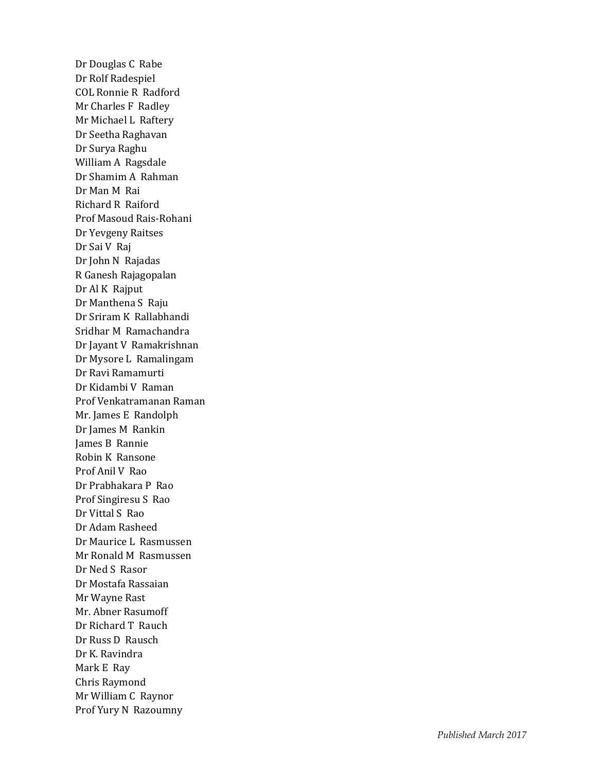Dr Douglas C Rabe Dr Rolf Radespiel COL Ronnie R Radford Mr Charles F Radley Mr Michael L Raftery Dr Seetha Raghavan Dr Surya Raghu William A Ragsdale Dr Shamim A Rahman Dr Man M Rai Richard R Raiford Prof Masoud Rais -Rohani Dr Yevgeny Raitses Dr Sai V Raj Dr John N Rajadas R Ganesh Rajagopalan Dr Al K Rajput Dr Manthena S Raju Dr Sriram K Rallabhandi Sridhar M Ramachandra Dr Jayant V Ramakrishnan Dr Mysore L Ramalingam Dr Ravi Ramamurti Dr Kidambi V Raman Prof Venkatramanan Raman Mr. James E Randolph Dr James M Rankin James B Rannie Robin K Ransone Prof Anil V Rao Dr Prabhakara P Rao Prof Singiresu S Rao Dr Vittal S Rao Dr Adam Rasheed Dr Maurice L Rasmussen Mr Ronald M Rasmussen Dr Ned S Rasor Dr Mostafa Rassaian Mr Wayne Rast Mr. Abner Rasumoff Dr Richard T Rauch Dr Russ D Rausch Dr K. Ravindra Mark E Ray Chris Raymond Mr William C Raynor Prof Yury N Razoumny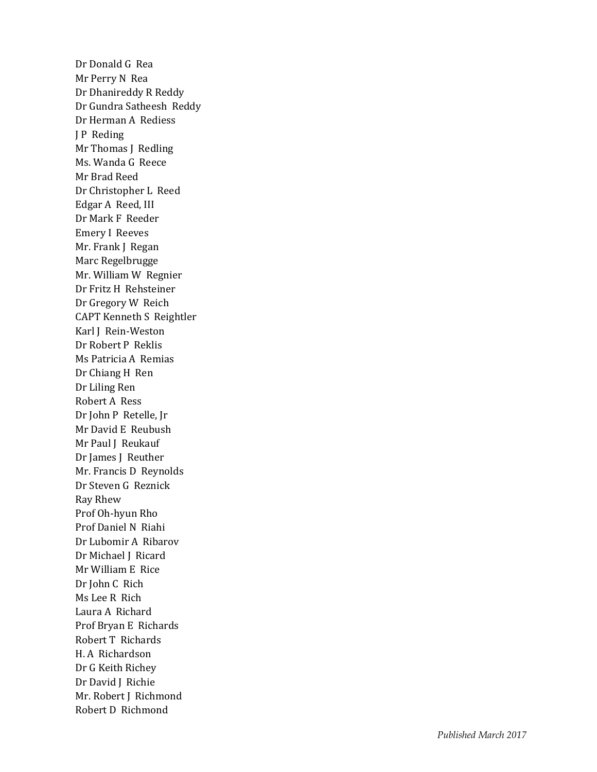Dr Donald G Rea Mr Perry N Rea Dr Dhanireddy R Reddy Dr Gundra Satheesh Reddy Dr Herman A Rediess J P Reding Mr Thomas J Redling Ms. Wanda G Reece Mr Brad Reed Dr Christopher L Reed Edgar A Reed, III Dr Mark F Reeder Emery I Reeves Mr. Frank J Regan Marc Regelbrugge Mr. William W Regnier Dr Fritz H Rehsteiner Dr Gregory W Reich CAPT Kenneth S Reightler Karl J Rein -Weston Dr Robert P Reklis Ms Patricia A Remias Dr Chiang H Ren Dr Liling Ren Robert A Ress Dr John P Retelle, Jr Mr David E Reubush Mr Paul J Reukauf Dr James J Reuther Mr. Francis D Reynolds Dr Steven G Reznick Ray Rhew Prof Oh -hyun Rho Prof Daniel N Riahi Dr Lubomir A Ribarov Dr Michael J Ricard Mr William E Rice Dr John C Rich Ms Lee R Rich Laura A Richard Prof Bryan E Richards Robert T Richards H. A Richardson Dr G Keith Richey Dr David J Richie Mr. Robert J Richmond Robert D Richmond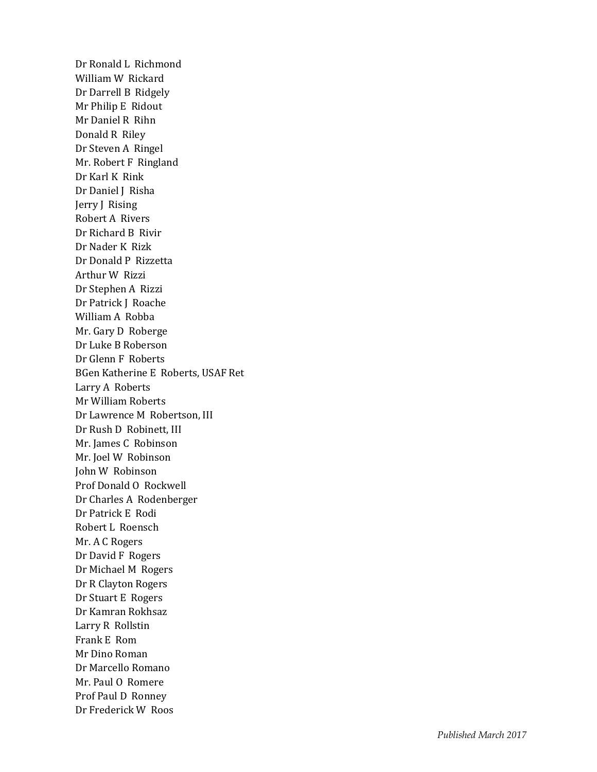Dr Ronald L Richmond William W Rickard Dr Darrell B Ridgely Mr Philip E Ridout Mr Daniel R Rihn Donald R Riley Dr Steven A Ringel Mr. Robert F Ringland Dr Karl K Rink Dr Daniel J Risha Jerry J Rising Robert A Rivers Dr Richard B Rivir Dr Nader K Rizk Dr Donald P Rizzetta Arthur W Rizzi Dr Stephen A Rizzi Dr Patrick J Roache William A Robba Mr. Gary D Roberge Dr Luke B Roberson Dr Glenn F Roberts BGen Katherine E Roberts, USAF Ret Larry A Roberts Mr William Roberts Dr Lawrence M Robertson, III Dr Rush D Robinett, III Mr. James C Robinson Mr. Joel W Robinson John W Robinson Prof Donald O Rockwell Dr Charles A Rodenberger Dr Patrick E Rodi Robert L Roensch Mr. A C Rogers Dr David F Rogers Dr Michael M Rogers Dr R Clayton Rogers Dr Stuart E Rogers Dr Kamran Rokhsaz Larry R Rollstin Frank E Rom Mr Dino Roman Dr Marcello Romano Mr. Paul O Romere Prof Paul D Ronney Dr Frederick W Roos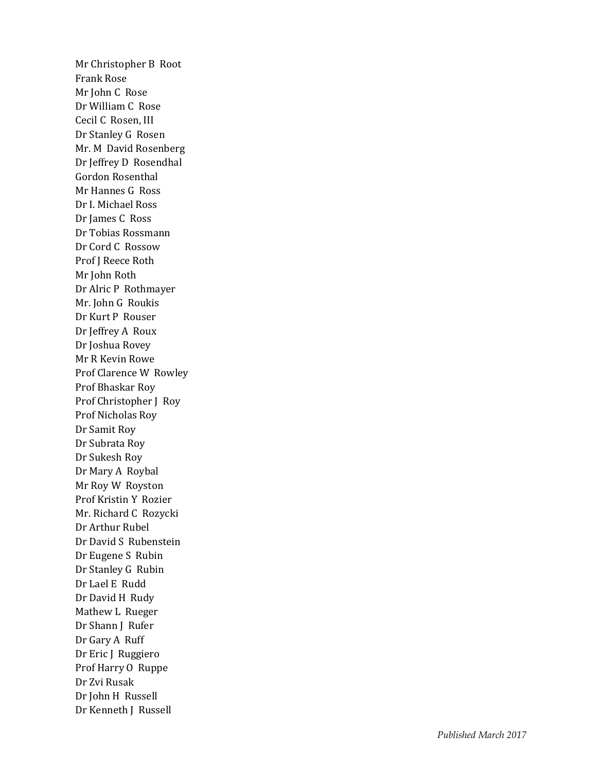Mr Christopher B Root Frank Rose Mr John C Rose Dr William C Rose Cecil C Rosen, III Dr Stanley G Rosen Mr. M David Rosenberg Dr Jeffrey D Rosendhal Gordon Rosenthal Mr Hannes G Ross Dr I. Michael Ross Dr James C Ross Dr Tobias Rossmann Dr Cord C Rossow Prof J Reece Roth Mr John Roth Dr Alric P Rothmayer Mr. John G Roukis Dr Kurt P Rouser Dr Jeffrey A Roux Dr Joshua Rovey Mr R Kevin Rowe Prof Clarence W Rowley Prof Bhaskar Roy Prof Christopher J Roy Prof Nicholas Roy Dr Samit Roy Dr Subrata Roy Dr Sukesh Roy Dr Mary A Roybal Mr Roy W Royston Prof Kristin Y Rozier Mr. Richard C Rozycki Dr Arthur Rubel Dr David S Rubenstein Dr Eugene S Rubin Dr Stanley G Rubin Dr Lael E Rudd Dr David H Rudy Mathew L Rueger Dr Shann J Rufer Dr Gary A Ruff Dr Eric J Ruggiero Prof Harry O Ruppe Dr Zvi Rusak Dr John H Russell Dr Kenneth J Russell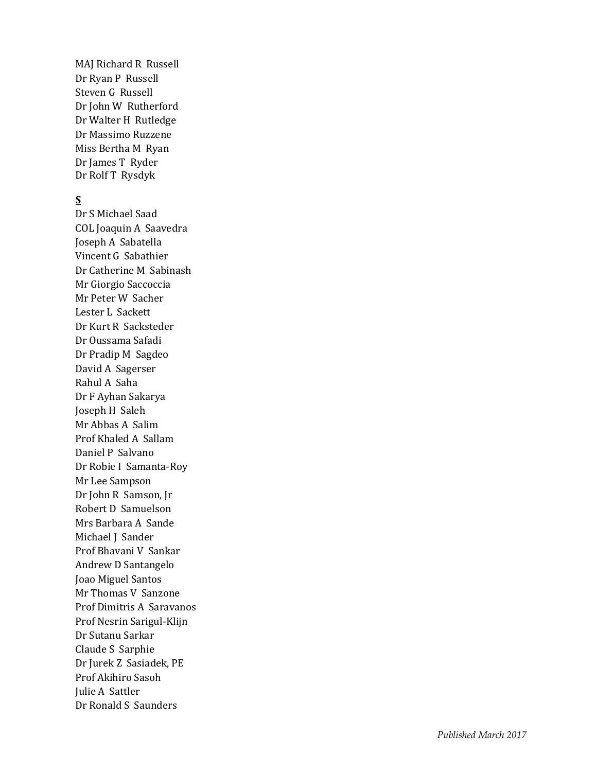MAJ Richard R Russell Dr Ryan P Russell Steven G Russell Dr John W Rutherford Dr Walter H Rutledge Dr Massimo Ruzzene Miss Bertha M Ryan Dr James T Ryder Dr Rolf T Rysdyk

### **S**

Dr S Michael Saad COL Joaquin A Saavedra Joseph A Sabatella Vincent G Sabathier Dr Catherine M Sabinash Mr Giorgio Saccoccia Mr Peter W Sacher Lester L Sackett Dr Kurt R Sacksteder Dr Oussama Safadi Dr Pradip M Sagdeo David A Sagerser Rahul A Saha Dr F Ayhan Sakarya Joseph H Saleh Mr Abbas A Salim Prof Khaled A Sallam Daniel P Salvano Dr Robie I Samanta -Roy Mr Lee Sampson Dr John R Samson, Jr Robert D Samuelson Mrs Barbara A Sande Michael J Sander Prof Bhavani V Sankar Andrew D Santangelo Joao Miguel Santos Mr Thomas V Sanzone Prof Dimitris A Saravanos Prof Nesrin Sarigul -Klijn Dr Sutanu Sarkar Claude S Sarphie Dr Jurek Z Sasiadek, PE Prof Akihiro Saso h Julie A Sattler Dr Ronald S Saunders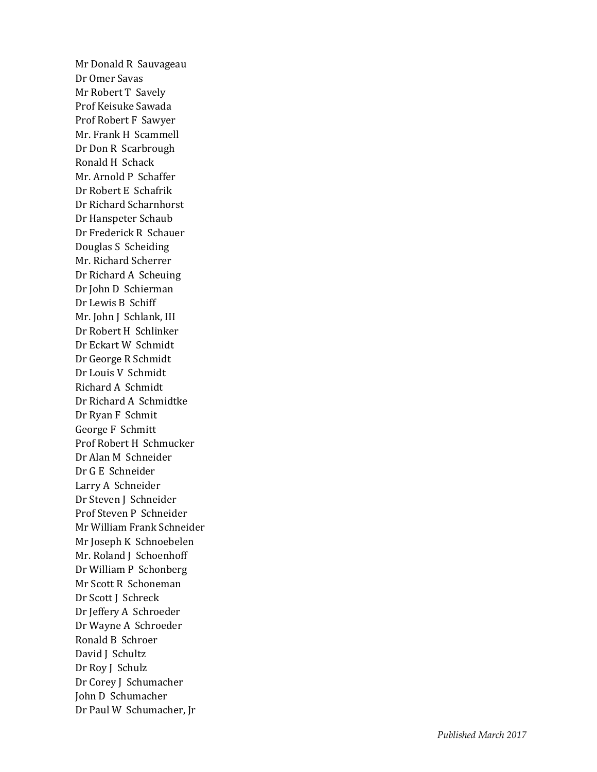Mr Donald R Sauvageau Dr Omer Savas Mr Robert T Savely Prof Keisuke Sawada Prof Robert F Sawyer Mr. Frank H Scammell Dr Don R Scarbrough Ronald H Schack Mr. Arnold P Schaffer Dr Robert E Schafrik Dr Richard Scharnhorst Dr Hanspeter Schaub Dr Frederick R Schauer Douglas S Scheiding Mr. Richard Scherrer Dr Richard A Scheuing Dr John D Schierman Dr Lewis B Schiff Mr. John J Schlank, III Dr Robert H Schlinker Dr Eckart W Schmidt Dr George R Schmidt Dr Louis V Schmidt Richard A Schmidt Dr Richard A Schmidtke Dr Ryan F Schmit George F Schmitt Prof Robert H Schmucker Dr Alan M Schneider Dr G E Schneider Larry A Schneider Dr Steven J Schneider Prof Steven P Schneider Mr William Frank Schneider Mr Joseph K Schnoebelen Mr. Roland J Schoenhoff Dr William P Schonberg Mr Scott R Schoneman Dr Scott J Schreck Dr Jeffery A Schroeder Dr Wayne A Schroeder Ronald B Schroer David J Schultz Dr Roy J Schulz Dr Corey J Schumacher John D Schumacher Dr Paul W Schumacher, Jr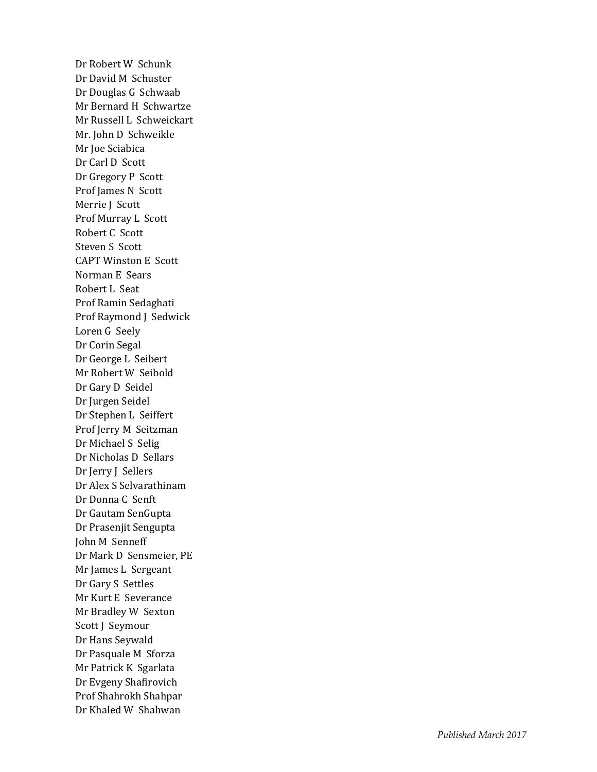Dr Robert W Schunk Dr David M Schuster Dr Douglas G Schwaab Mr Bernard H Schwartze Mr Russell L Schweickart Mr. John D Schweikle Mr Joe Sciabica Dr Carl D Scott Dr Gregory P Scott Prof James N Scott Merrie J Scott Prof Murray L Scott Robert C Scott Steven S Scott CAPT Winston E Scott Norman E Sears Robert L Seat Prof Ramin Sedaghati Prof Raymond J Sedwick Loren G Seely Dr Corin Segal Dr George L Seibert Mr Robert W Seibold Dr Gary D Seidel Dr Jurgen Seidel Dr Stephen L Seiffert Prof Jerry M Seitzman Dr Michael S Selig Dr Nicholas D Sellars Dr Jerry J Sellers Dr Alex S Selvarathinam Dr Donna C Senft Dr Gautam SenGupta Dr Prasenjit Sengupta John M Senneff Dr Mark D Sensmeier, PE Mr James L Sergeant Dr Gary S Settles Mr Kurt E Severance Mr Bradley W Sexton Scott J Seymour Dr Hans Seywald Dr Pasquale M Sforza Mr Patrick K Sgarlata Dr Evgeny Shafirovich Prof Shahrokh Shahpar Dr Khaled W Shahwan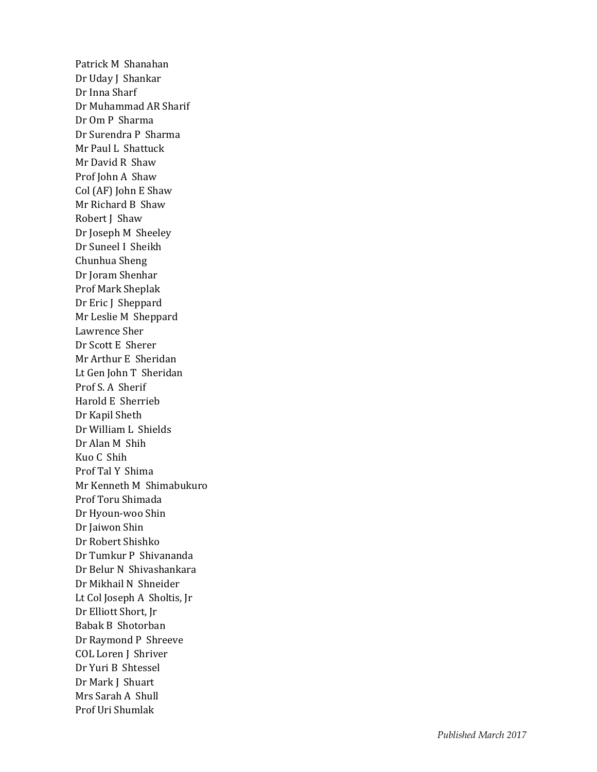Patrick M Shanahan Dr Uday J Shankar Dr Inna Sharf Dr Muhammad AR Sharif Dr Om P Sharma Dr Surendra P Sharma Mr Paul L Shattuck Mr David R Shaw Prof John A Shaw Col (AF) John E Shaw Mr Richard B Shaw Robert J Shaw Dr Joseph M Sheeley Dr Suneel I Sheikh Chunhua Sheng Dr Joram Shenhar Prof Mark Sheplak Dr Eric J Sheppard Mr Leslie M Sheppard Lawrence Sher Dr Scott E Sherer Mr Arthur E Sheridan Lt Gen John T Sheridan Prof S. A Sherif Harold E Sherrieb Dr Kapil Sheth Dr William L Shields Dr Alan M Shih Kuo C Shih Prof Tal Y Shima Mr Kenneth M Shimabukuro Prof Toru Shimada Dr Hyoun -woo Shin Dr Jaiwon Shin Dr Robert Shishko Dr Tumkur P Shivananda Dr Belur N Shivashankara Dr Mikhail N Shneider Lt Col Joseph A Sholtis, Jr Dr Elliott Short, Jr Babak B Shotorban Dr Raymond P Shreeve COL Loren J Shriver Dr Yuri B Shtessel Dr Mark J Shuart Mrs Sarah A Shull Prof Uri Shumlak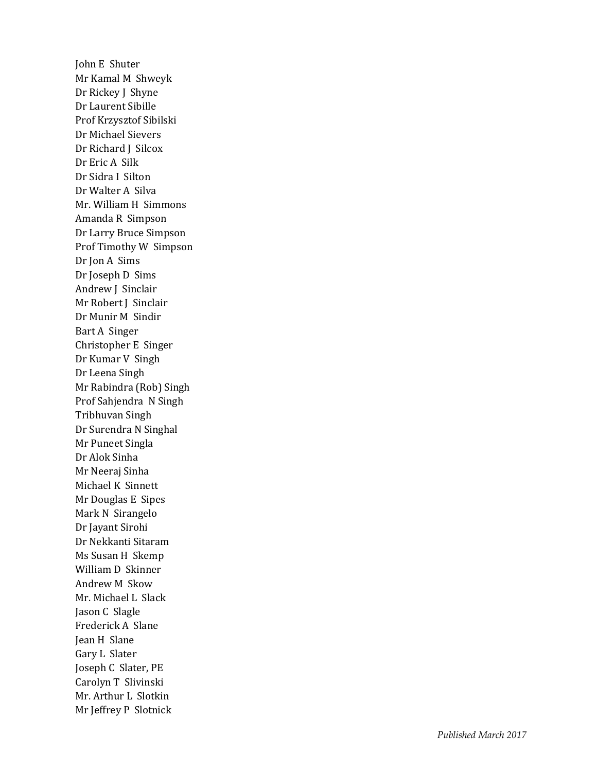John E Shuter Mr Kamal M Shweyk Dr Rickey J Shyne Dr Laurent Sibille Prof Krzysztof Sibilski Dr Michael Sievers Dr Richard J Silcox Dr Eric A Silk Dr Sidra I Silton Dr Walter A Silva Mr. William H Simmons Amanda R Simpson Dr Larry Bruce Simpson Prof Timothy W Simpson Dr Jon A Sims Dr Joseph D Sims Andrew J Sinclair Mr Robert J Sinclair Dr Munir M Sindir Bart A Singer Christopher E Singer Dr Kumar V Singh Dr Leena Singh Mr Rabindra (Rob) Singh Prof Sahjendra N Singh Tribhuvan Singh Dr Surendra N Singhal Mr Puneet Singla Dr Alok Sinha Mr Neeraj Sinha Michael K Sinnett Mr Douglas E Sipes Mark N Sirangelo Dr Jayant Sirohi Dr Nekkanti Sitaram Ms Susan H Skemp William D Skinner Andrew M Skow Mr. Michael L Slack Jason C Slagle Frederick A Slane Jean H Slane Gary L Slater Joseph C Slater, PE Carolyn T Slivinski Mr. Arthur L Slotkin Mr Jeffrey P Slotnick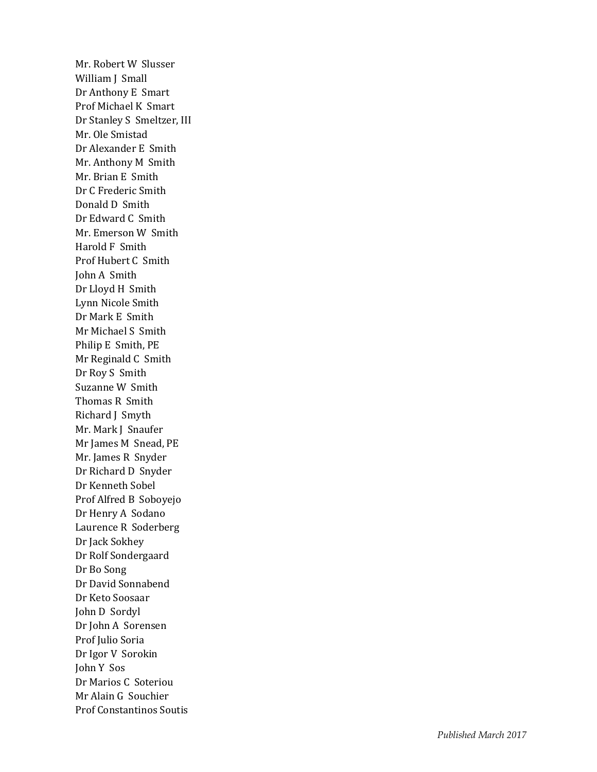Mr. Robert W Slusser William J Small Dr Anthony E Smart Prof Michael K Smart Dr Stanley S Smeltzer, III Mr. Ole Smistad Dr Alexander E Smith Mr. Anthony M Smith Mr. Brian E Smith Dr C Frederic Smith Donald D Smith Dr Edward C Smith Mr. Emerson W Smith Harold F Smith Prof Hubert C Smith John A Smith Dr Lloyd H Smith Lynn Nicole Smith Dr Mark E Smith Mr Michael S Smith Philip E Smith, PE Mr Reginald C Smith Dr Roy S Smith Suzanne W Smith Thomas R Smith Richard J Smyth Mr. Mark J Snaufer Mr James M Snead, PE Mr. James R Snyder Dr Richard D Snyder Dr Kenneth Sobel Prof Alfred B Soboyejo Dr Henry A Sodano Laurence R Soderberg Dr Jack Sokhey Dr Rolf Sondergaard Dr Bo Song Dr David Sonnabend Dr Keto Soosaar John D Sordyl Dr John A Sorensen Prof Julio Soria Dr Igor V Sorokin John Y Sos Dr Marios C Soteriou Mr Alain G Souchier Prof Constantinos Soutis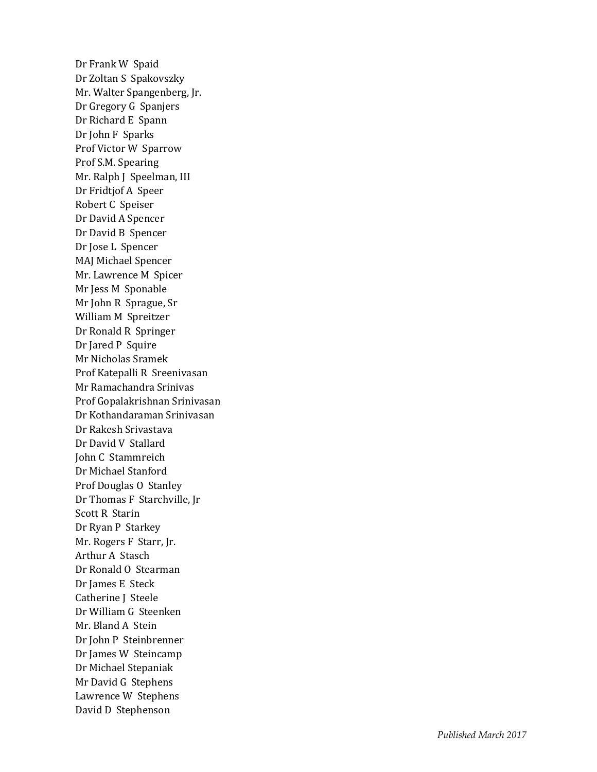Dr Frank W Spaid Dr Zoltan S Spakovszky Mr. Walter Spangenberg, Jr. Dr Gregory G Spanjers Dr Richard E Spann Dr John F Sparks Prof Victor W Sparrow Prof S.M. Spearing Mr. Ralph J Speelman, III Dr Fridtjof A Speer Robert C Speiser Dr David A Spencer Dr David B Spencer Dr Jose L Spencer MAJ Michael Spencer Mr. Lawrence M Spicer Mr Jess M Sponable Mr John R Sprague, Sr William M Spreitzer Dr Ronald R Springer Dr Jared P Squire Mr Nicholas Sramek Prof Katepalli R Sreenivasan Mr Ramachandra Srinivas Prof Gopalakrishnan Srinivasan Dr Kothandaraman Srinivasan Dr Rakesh Srivastava Dr David V Stallard John C Stammreich Dr Michael Stanford Prof Douglas O Stanley Dr Thomas F Starchville, Jr Scott R Starin Dr Ryan P Starkey Mr. Rogers F Starr, Jr. Arthur A Stasch Dr Ronald O Stearman Dr James E Steck Catherine J Steele Dr William G Steenken Mr. Bland A Stein Dr John P Steinbrenner Dr James W Steincamp Dr Michael Stepaniak Mr David G Stephens Lawrence W Stephens David D Stephenson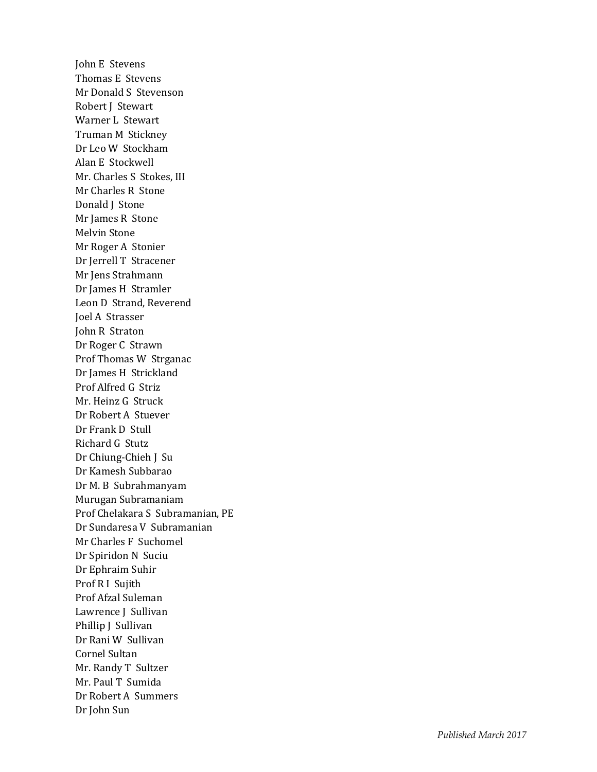John E Stevens Thomas E Stevens Mr Donald S Stevenson Robert J Stewart Warner L Stewart Truman M Stickney Dr Leo W Stockham Alan E Stockwell Mr. Charles S Stokes, III Mr Charles R Stone Donald J Stone Mr James R Stone Melvin Stone Mr Roger A Stonier Dr Jerrell T Stracener Mr Jens Strahmann Dr James H Stramler Leon D Strand, Reverend Joel A Strasser John R Straton Dr Roger C Strawn Prof Thomas W Strganac Dr James H Strickland Prof Alfred G Striz Mr. Heinz G Struck Dr Robert A Stuever Dr Frank D Stull Richard G Stutz Dr Chiung -Chieh J Su Dr Kamesh Subbarao Dr M. B Subrahmanyam Murugan Subramaniam Prof Chelakara S Subramanian, PE Dr Sundaresa V Subramanian Mr Charles F Suchomel Dr Spiridon N Suciu Dr Ephraim Suhir Prof R I Sujith Prof Afzal Suleman Lawrence J Sullivan Phillip J Sullivan Dr Rani W Sullivan Cornel Sultan Mr. Randy T Sultzer Mr. Paul T Sumida Dr Robert A Summers Dr John Sun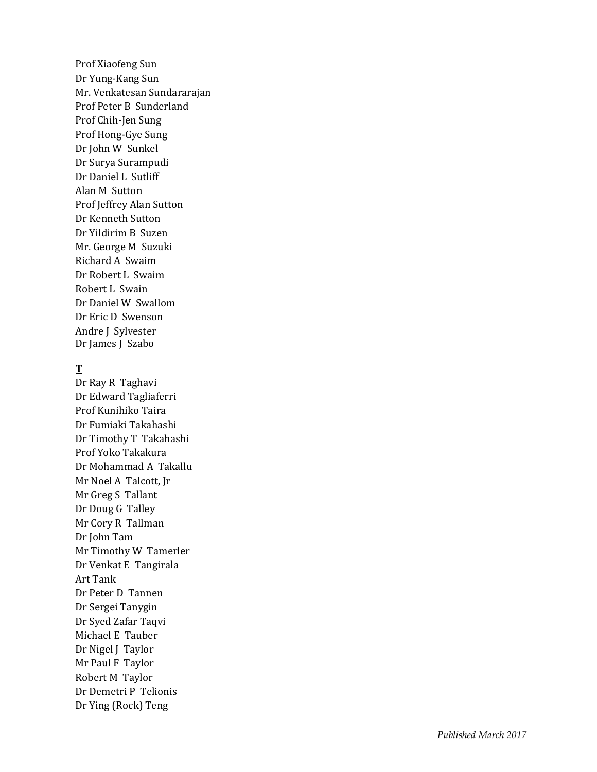Prof Xiaofeng Sun Dr Yung -Kang Sun Mr. Venkatesan Sundararajan Prof Peter B Sunderland Prof Chih -Jen Sung Prof Hong -Gye Sung Dr John W Sunkel Dr Surya Surampudi Dr Daniel L Sutliff Alan M Sutton Prof Jeffrey Alan Sutton Dr Kenneth Sutton Dr Yildirim B Suzen Mr. George M Suzuki Richard A Swaim Dr Robert L Swaim Robert L Swain Dr Daniel W Swallom Dr Eric D Swenson Andre J Sylvester Dr James J Szabo

### **T**

Dr Ray R Taghavi Dr Edward Tagliaferri Prof Kunihiko Taira Dr Fumiaki Takahashi Dr Timothy T Takahashi Prof Yoko Takakura Dr Mohammad A Takallu Mr Noel A Talcott, Jr Mr Greg S Tallant Dr Doug G Talley Mr Cory R Tallman Dr John Tam Mr Timothy W Tamerler Dr Venkat E Tangirala Art Tank Dr Peter D Tannen Dr Sergei Tanygin Dr Syed Zafar Taqvi Michael E Tauber Dr Nigel J Taylor Mr Paul F Taylor Robert M Taylor Dr Demetri P Telionis Dr Ying (Rock) Teng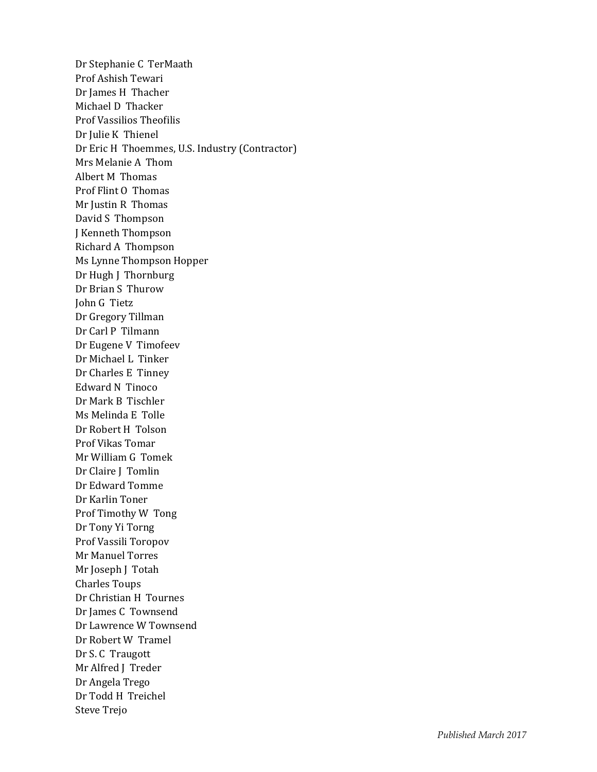Dr Stephanie C TerMaath Prof Ashish Tewari Dr James H Thacher Michael D Thacker Prof Vassilios Theofilis Dr Julie K Thienel Dr Eric H Thoemmes, U.S. Industry (Contractor) Mrs Melanie A Thom Albert M Thomas Prof Flint O Thomas Mr Justin R Thomas David S Thompson J Kenneth Thompson Richard A Thompson Ms Lynne Thompson Hopper Dr Hugh J Thornburg Dr Brian S Thurow John G Tietz Dr Gregory Tillman Dr Carl P Tilmann Dr Eugene V Timofeev Dr Michael L Tinker Dr Charles E Tinney Edward N Tinoco Dr Mark B Tischler Ms Melinda E Tolle Dr Robert H Tolson Prof Vikas Tomar Mr William G Tomek Dr Claire J Tomlin Dr Edward Tomme Dr Karlin Toner Prof Timothy W Tong Dr Tony Yi Torng Prof Vassili Toropov Mr Manuel Torres Mr Joseph J Totah Charles Toups Dr Christian H Tournes Dr James C Townsend Dr Lawrence W Townsend Dr Robert W Tramel Dr S. C Traugott Mr Alfred J Treder Dr Angela Trego Dr Todd H Treichel Steve Trejo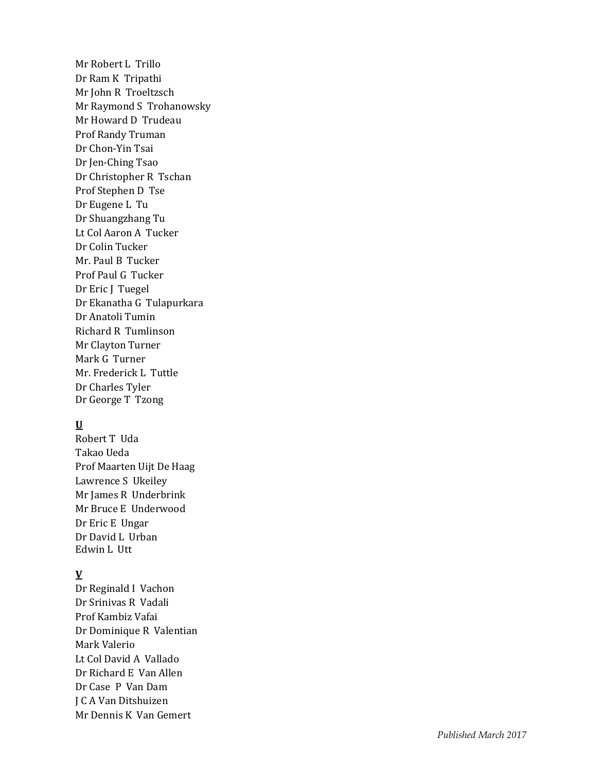Mr Robert L Trillo Dr Ram K Tripathi Mr John R Troeltzsch Mr Raymond S Trohanowsky Mr Howard D Trudeau Prof Randy Truman Dr Chon -Yin Tsai Dr Jen -Ching Tsao Dr Christopher R Tschan Prof Stephen D Tse Dr Eugene L Tu Dr Shuangzhang Tu Lt Col Aaron A Tucker Dr Colin Tucker Mr. Paul B Tucker Prof Paul G Tucker Dr Eric J Tuegel Dr Ekanatha G Tulapurkara Dr Anatoli Tumin Richard R Tumlinson Mr Clayton Turner Mark G Turner Mr. Frederick L Tuttle Dr Charles Tyler Dr George T Tzong

### **U**

Robert T Uda Takao Ueda Prof Maarten Uijt De Haag Lawrence S Ukeile y Mr James R Underbrink Mr Bruce E Underwood Dr Eric E Ungar Dr David L Urban Edwin L Utt

## **V**

Dr Reginald I Vachon Dr Srinivas R Vadali Prof Kambiz Vafai Dr Dominique R Valentian Mark Valerio Lt Col David A Vallado Dr Richard E Van Allen Dr Case P Van Dam J C A Van Ditshuizen Mr Dennis K Van Gemert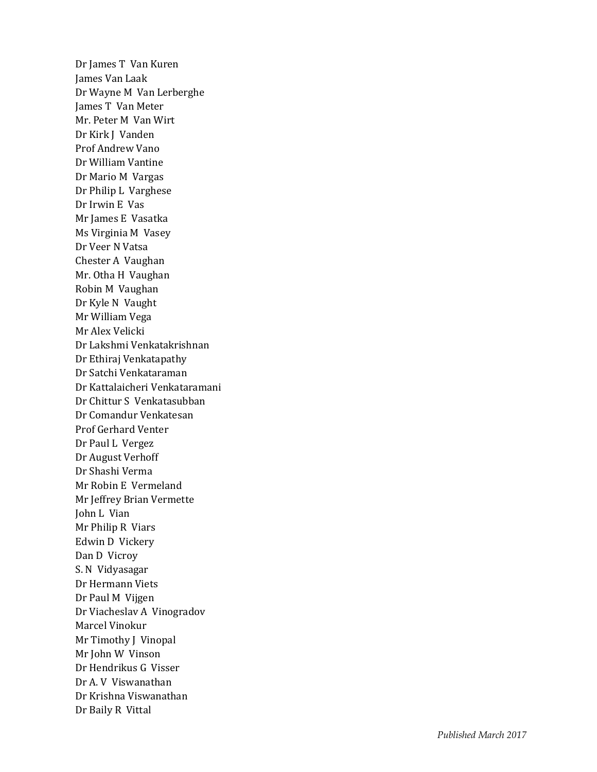Dr James T Van Kuren James Van Laak Dr Wayne M Van Lerberghe James T Van Meter Mr. Peter M Van Wirt Dr Kirk J Vanden Prof Andrew Vano Dr William Vantine Dr Mario M Vargas Dr Philip L Varghese Dr Irwin E Vas Mr James E Vasatka Ms Virginia M Vasey Dr Veer N Vatsa Chester A Vaughan Mr. Otha H Vaughan Robin M Vaughan Dr Kyle N Vaught Mr William Vega Mr Alex Velicki Dr Lakshmi Venkatakrishnan Dr Ethiraj Venkatapathy Dr Satchi Venkataraman Dr Kattalaicheri Venkataramani Dr Chittur S Venkatasubban Dr Comandur Venkatesan Prof Gerhard Venter Dr Paul L Vergez Dr August Verhoff Dr Shashi Verma Mr Robin E Vermeland Mr Jeffrey Brian Vermette John L Vian Mr Philip R Viars Edwin D Vickery Dan D Vicroy S. N Vidyasagar Dr Hermann Viets Dr Paul M Vijgen Dr Viacheslav A Vinogradov Marcel Vinokur Mr Timothy J Vinopal Mr John W Vinson Dr Hendrikus G Visser Dr A. V Viswanathan Dr Krishna Viswanathan Dr Baily R Vittal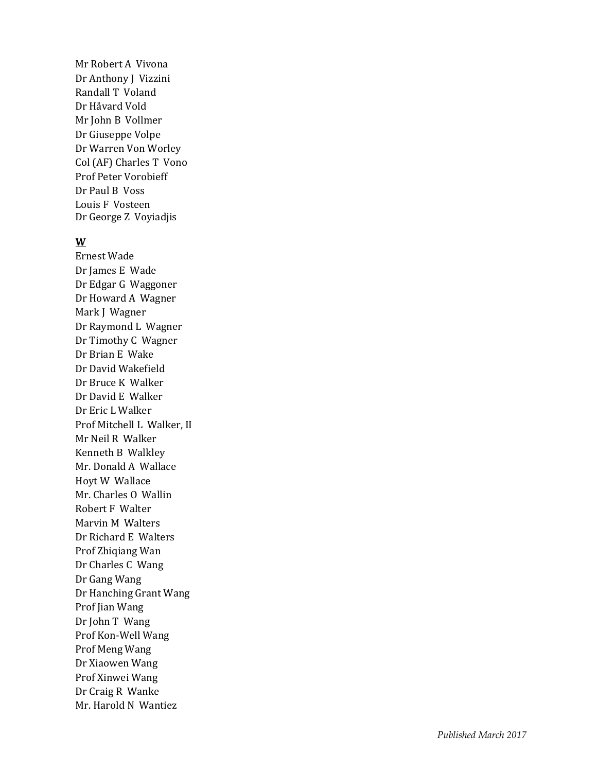Mr Robert A Vivona Dr Anthony J Vizzini Randall T Voland Dr Håvard Vold Mr John B Vollmer Dr Giuseppe Volpe Dr Warren Von Worley Col (AF) Charles T Vono Prof Peter Vorobieff Dr Paul B Voss Louis F Vosteen Dr George Z Voyiadjis

## **W**

Ernest Wade Dr James E Wade Dr Edgar G Waggoner Dr Howard A Wagner Mark J Wagner Dr Raymond L Wagner Dr Timothy C Wagner Dr Brian E Wake Dr David Wakefield Dr Bruce K Walker Dr David E Walker Dr Eric L Walker Prof Mitchell L Walker, II Mr Neil R Walker Kenneth B Walkley Mr. Donald A Wallace Hoyt W Wallace Mr. Charles O Wallin Robert F Walter Marvin M Walters Dr Richard E Walters Prof Zhiqiang Wan Dr Charles C Wang Dr Gang Wang Dr Hanching Grant Wang Prof Jian Wang Dr John T Wang Prof Kon -Well Wang Prof Meng Wang Dr Xiaowen Wang Prof Xinwei Wang Dr Craig R Wanke Mr. Harold N Wantiez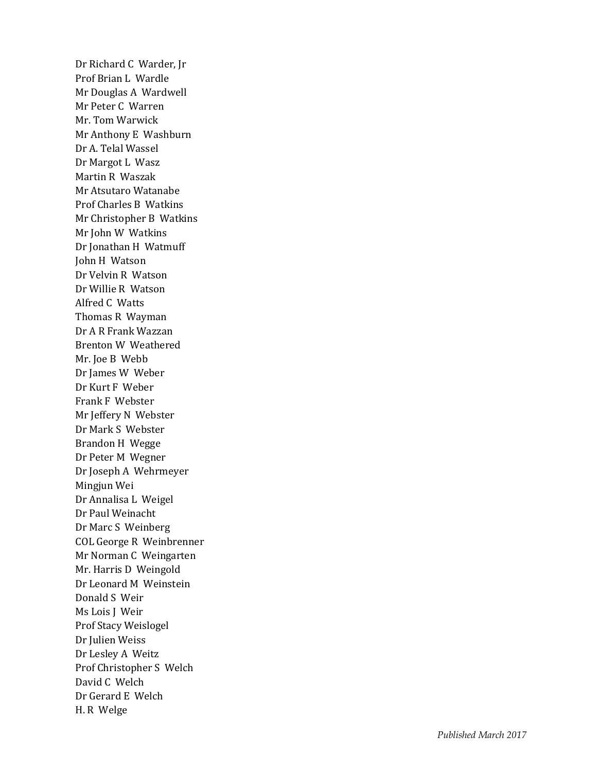Dr Richard C Warder, Jr Prof Brian L Wardle Mr Douglas A Wardwell Mr Peter C Warren Mr. Tom Warwick Mr Anthony E Washburn Dr A. Telal Wassel Dr Margot L Wasz Martin R Waszak Mr Atsutaro Watanabe Prof Charles B Watkins Mr Christopher B Watkins Mr John W Watkins Dr Jonathan H Watmuff John H Watson Dr Velvin R Watson Dr Willie R Watson Alfred C Watts Thomas R Wayman Dr A R Frank Wazzan Brenton W Weathered Mr. Joe B Webb Dr James W Weber Dr Kurt F Weber Frank F Webster Mr Jeffery N Webster Dr Mark S Webster Brandon H Wegge Dr Peter M Wegner Dr Joseph A Wehrmeyer Mingjun Wei Dr Annalisa L Weigel Dr Paul Weinacht Dr Marc S Weinberg COL George R Weinbrenner Mr Norman C Weingarten Mr. Harris D Weingold Dr Leonard M Weinstein Donald S Weir Ms Lois J Weir Prof Stacy Weislogel Dr Julien Weiss Dr Lesley A Weitz Prof Christopher S Welch David C Welch Dr Gerard E Welch H. R Welge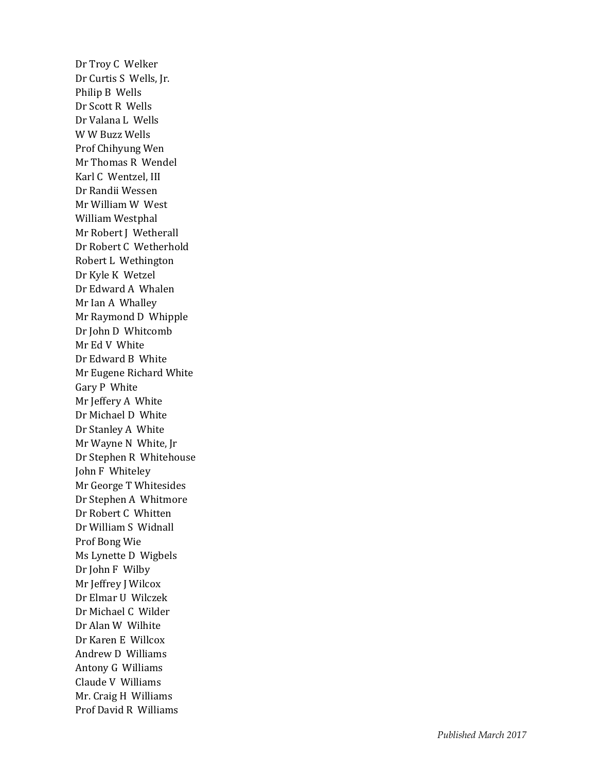Dr Troy C Welker Dr Curtis S Wells, Jr. Philip B Wells Dr Scott R Wells Dr Valana L Wells W W Buzz Wells Prof Chihyung Wen Mr Thomas R Wendel Karl C Wentzel, III Dr Randii Wessen Mr William W West William Westphal Mr Robert J Wetherall Dr Robert C Wetherhold Robert L Wethington Dr Kyle K Wetzel Dr Edward A Whalen Mr Ian A Whalley Mr Raymond D Whipple Dr John D Whitcomb Mr Ed V White Dr Edward B White Mr Eugene Richard White Gary P White Mr Jeffery A White Dr Michael D White Dr Stanley A White Mr Wayne N White, Jr Dr Stephen R Whitehouse John F Whiteley Mr George T Whitesides Dr Stephen A Whitmore Dr Robert C Whitten Dr William S Widnall Prof Bong Wie Ms Lynette D Wigbels Dr John F Wilby Mr Jeffrey J Wilcox Dr Elmar U Wilczek Dr Michael C Wilder Dr Alan W Wilhite Dr Karen E Willcox Andrew D Williams Antony G Williams Claude V Williams Mr. Craig H Williams Prof David R Williams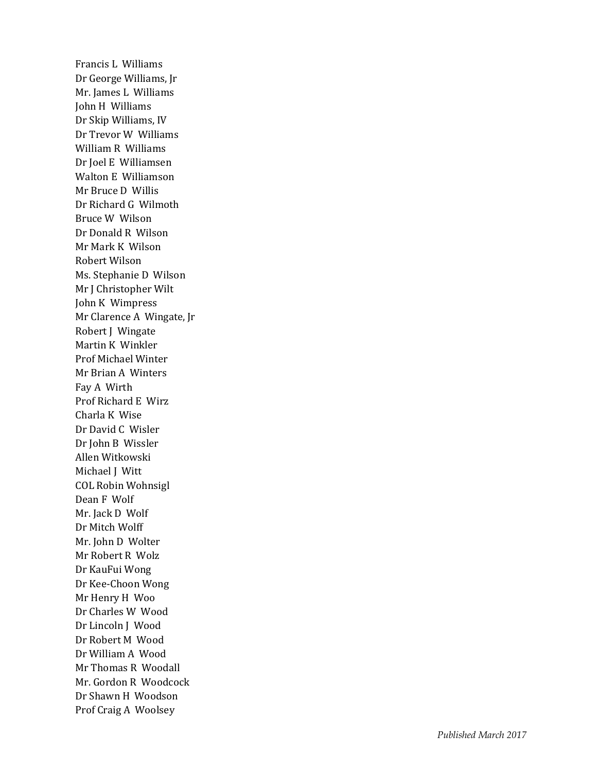Francis L Williams Dr George Williams, Jr Mr. James L Williams John H Williams Dr Skip Williams, IV Dr Trevor W Williams William R Williams Dr Joel E Williamsen Walton E Williamson Mr Bruce D Willis Dr Richard G Wilmoth Bruce W Wilson Dr Donald R Wilson Mr Mark K Wilson Robert Wilson Ms. Stephanie D Wilson Mr J Christopher Wilt John K Wimpress Mr Clarence A Wingate, Jr Robert J Wingate Martin K Winkler Prof Michael Winter Mr Brian A Winters Fay A Wirth Prof Richard E Wirz Charla K Wise Dr David C Wisler Dr John B Wissler Allen Witkowski Michael J Witt COL Robin Wohnsigl Dean F Wolf Mr. Jack D Wolf Dr Mitch Wolff Mr. John D Wolter Mr Robert R Wolz Dr KauFui Wong Dr Kee -Choon Wong Mr Henry H Woo Dr Charles W Wood Dr Lincoln J Wood Dr Robert M Wood Dr William A Wood Mr Thomas R Woodall Mr. Gordon R Woodcock Dr Shawn H Woodson Prof Craig A Woolsey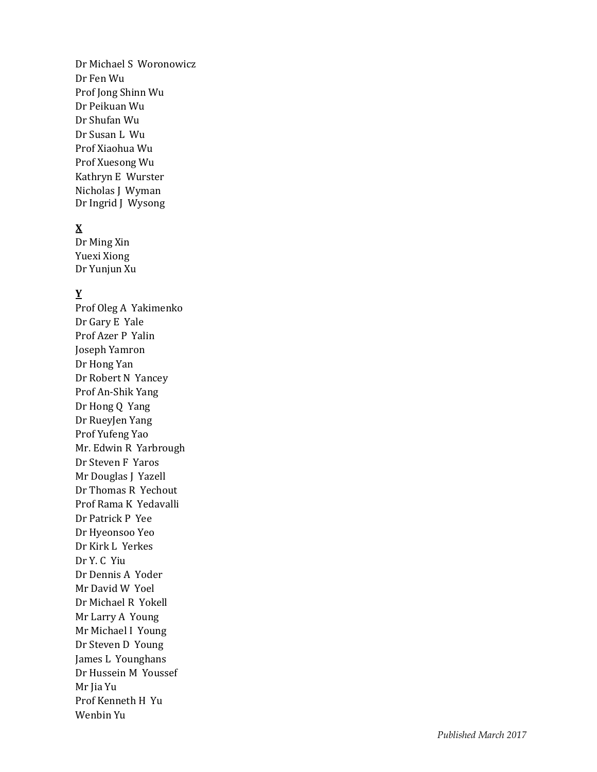Dr Michael S Woronowicz Dr Fen Wu Prof Jong Shinn Wu Dr Peikuan Wu Dr Shufan Wu Dr Susan L Wu Prof Xiaohua Wu Prof Xuesong Wu Kathryn E Wurster Nicholas J Wyman Dr Ingrid J Wysong

## **X**

Dr Ming Xin Yuexi Xiong Dr Yunjun Xu

## **Y**

Prof Oleg A Yakimenko Dr Gary E Yale Prof Azer P Yalin Joseph Yamron Dr Hong Yan Dr Robert N Yancey Prof An -Shik Yang Dr Hong Q Yang Dr RueyJen Yang Prof Yufeng Yao Mr. Edwin R Yarbrough Dr Steven F Yaros Mr Douglas J Yazell Dr Thomas R Yechout Prof Rama K Yedavalli Dr Patrick P Yee Dr Hyeonsoo Yeo Dr Kirk L Yerkes Dr Y. C Yiu Dr Dennis A Yoder Mr David W Yoel Dr Michael R Yokell Mr Larry A Young Mr Michael I Young Dr Steven D Young James L Younghans Dr Hussein M Youssef Mr Jia Yu Prof Kenneth H Yu Wenbin Yu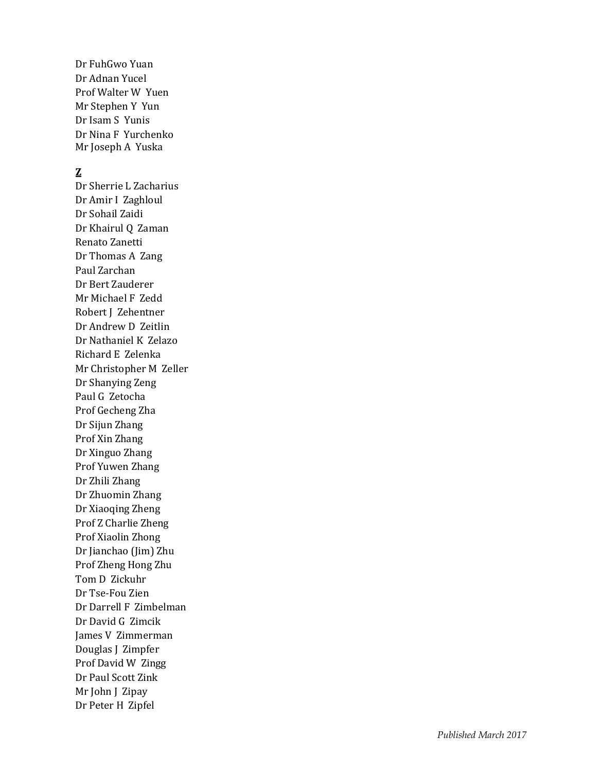Dr FuhGwo Yuan Dr Adnan Yucel Prof Walter W Yuen Mr Stephen Y Yun Dr Isam S Yunis Dr Nina F Yurchenko Mr Joseph A Yuska

## **Z**

Dr Sherrie L Zacharius Dr Amir I Zaghloul Dr Sohail Zaidi Dr Khairul Q Zaman Renato Zanetti Dr Thomas A Zang Paul Zarchan Dr Bert Zauderer Mr Michael F Zedd Robert J Zehentner Dr Andrew D Zeitlin Dr Nathaniel K Zelazo Richard E Zelenka Mr Christopher M Zeller Dr Shanying Zeng Paul G Zetocha Prof Gecheng Zha Dr Sijun Zhang Prof Xin Zhang Dr Xinguo Zhang Prof Yuwen Zhang Dr Zhili Zhang Dr Zhuomin Zhang Dr Xiaoqing Zheng Prof Z Charlie Zheng Prof Xiaolin Zhong Dr Jianchao (Jim) Zhu Prof Zheng Hong Zhu Tom D Zickuhr Dr Tse -Fou Zien Dr Darrell F Zimbelman Dr David G Zimcik James V Zimmerman Douglas J Zimpfer Prof David W Zingg Dr Paul Scott Zink Mr John J Zipay Dr Peter H Zipfel